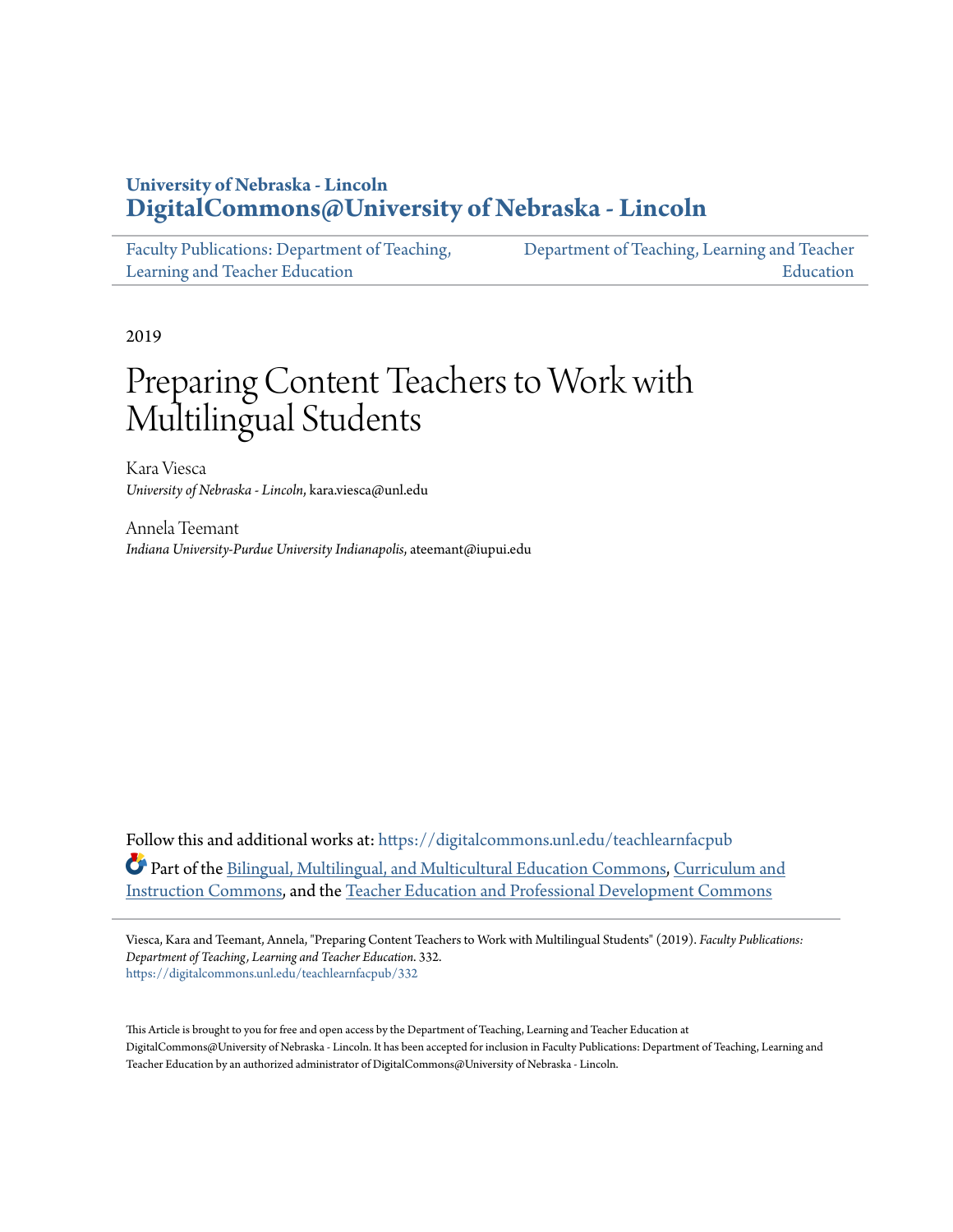# **University of Nebraska - Lincoln [DigitalCommons@University of Nebraska - Lincoln](https://digitalcommons.unl.edu?utm_source=digitalcommons.unl.edu%2Fteachlearnfacpub%2F332&utm_medium=PDF&utm_campaign=PDFCoverPages)**

| Faculty Publications: Department of Teaching, | Department of Teaching, Learning and Teacher |
|-----------------------------------------------|----------------------------------------------|
| Learning and Teacher Education                | Education                                    |

2019

# Preparing Content Teachers to Work with Multilingual Students

Kara Viesca *University of Nebraska - Lincoln*, kara.viesca@unl.edu

Annela Teemant *Indiana University-Purdue University Indianapolis*, ateemant@iupui.edu

Follow this and additional works at: [https://digitalcommons.unl.edu/teachlearnfacpub](https://digitalcommons.unl.edu/teachlearnfacpub?utm_source=digitalcommons.unl.edu%2Fteachlearnfacpub%2F332&utm_medium=PDF&utm_campaign=PDFCoverPages) Part of the [Bilingual, Multilingual, and Multicultural Education Commons](http://network.bepress.com/hgg/discipline/785?utm_source=digitalcommons.unl.edu%2Fteachlearnfacpub%2F332&utm_medium=PDF&utm_campaign=PDFCoverPages), [Curriculum and](http://network.bepress.com/hgg/discipline/786?utm_source=digitalcommons.unl.edu%2Fteachlearnfacpub%2F332&utm_medium=PDF&utm_campaign=PDFCoverPages) [Instruction Commons](http://network.bepress.com/hgg/discipline/786?utm_source=digitalcommons.unl.edu%2Fteachlearnfacpub%2F332&utm_medium=PDF&utm_campaign=PDFCoverPages), and the [Teacher Education and Professional Development Commons](http://network.bepress.com/hgg/discipline/803?utm_source=digitalcommons.unl.edu%2Fteachlearnfacpub%2F332&utm_medium=PDF&utm_campaign=PDFCoverPages)

Viesca, Kara and Teemant, Annela, "Preparing Content Teachers to Work with Multilingual Students" (2019). *Faculty Publications: Department of Teaching, Learning and Teacher Education*. 332. [https://digitalcommons.unl.edu/teachlearnfacpub/332](https://digitalcommons.unl.edu/teachlearnfacpub/332?utm_source=digitalcommons.unl.edu%2Fteachlearnfacpub%2F332&utm_medium=PDF&utm_campaign=PDFCoverPages)

This Article is brought to you for free and open access by the Department of Teaching, Learning and Teacher Education at DigitalCommons@University of Nebraska - Lincoln. It has been accepted for inclusion in Faculty Publications: Department of Teaching, Learning and Teacher Education by an authorized administrator of DigitalCommons@University of Nebraska - Lincoln.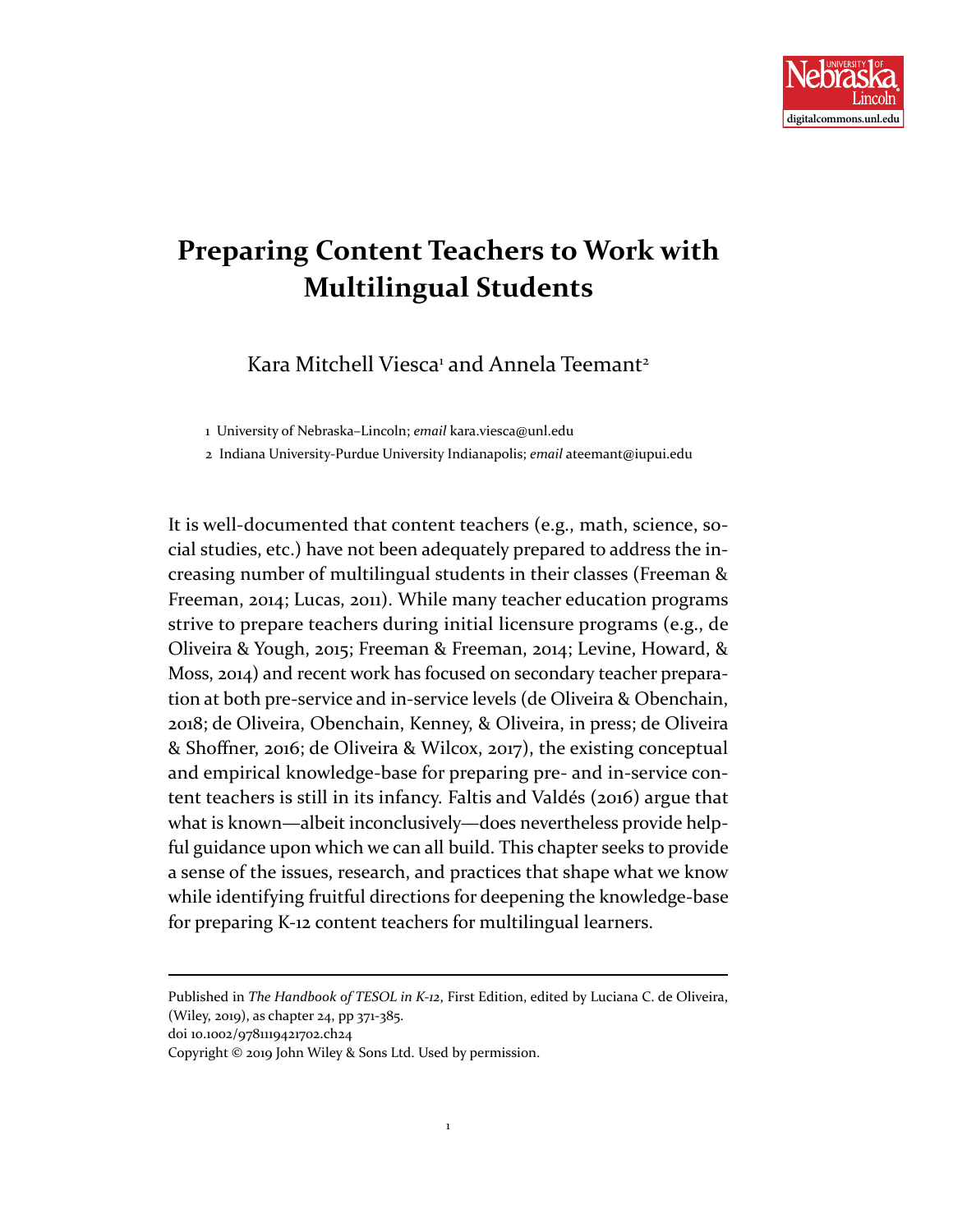

# **Preparing Content Teachers to Work with Multilingual Students**

Kara Mitchell Viesca<sup>1</sup> and Annela Teemant<sup>2</sup>

1 University of Nebraska–Lincoln; *email* kara.viesca@unl.edu

2 Indiana University-Purdue University Indianapolis; *email* ateemant@iupui.edu

It is well-documented that content teachers (e.g., math, science, social studies, etc.) have not been adequately prepared to address the increasing number of multilingual students in their classes (Freeman & Freeman, 2014; Lucas, 2011). While many teacher education programs strive to prepare teachers during initial licensure programs (e.g., de Oliveira & Yough, 2015; Freeman & Freeman, 2014; Levine, Howard, & Moss, 2014) and recent work has focused on secondary teacher preparation at both pre-service and in-service levels (de Oliveira & Obenchain, 2018; de Oliveira, Obenchain, Kenney, & Oliveira, in press; de Oliveira & Shoffner, 2016; de Oliveira & Wilcox, 2017), the existing conceptual and empirical knowledge-base for preparing pre- and in-service content teachers is still in its infancy. Faltis and Valdés (2016) argue that what is known—albeit inconclusively—does nevertheless provide helpful guidance upon which we can all build. This chapter seeks to provide a sense of the issues, research, and practices that shape what we know while identifying fruitful directions for deepening the knowledge-base for preparing K-12 content teachers for multilingual learners.

Published in *The Handbook of TESOL in K-12*, First Edition, edited by Luciana C. de Oliveira, (Wiley, 2019), as chapter 24, pp 371-385.

doi 10.1002/9781119421702.ch24

Copyright © 2019 John Wiley & Sons Ltd. Used by permission.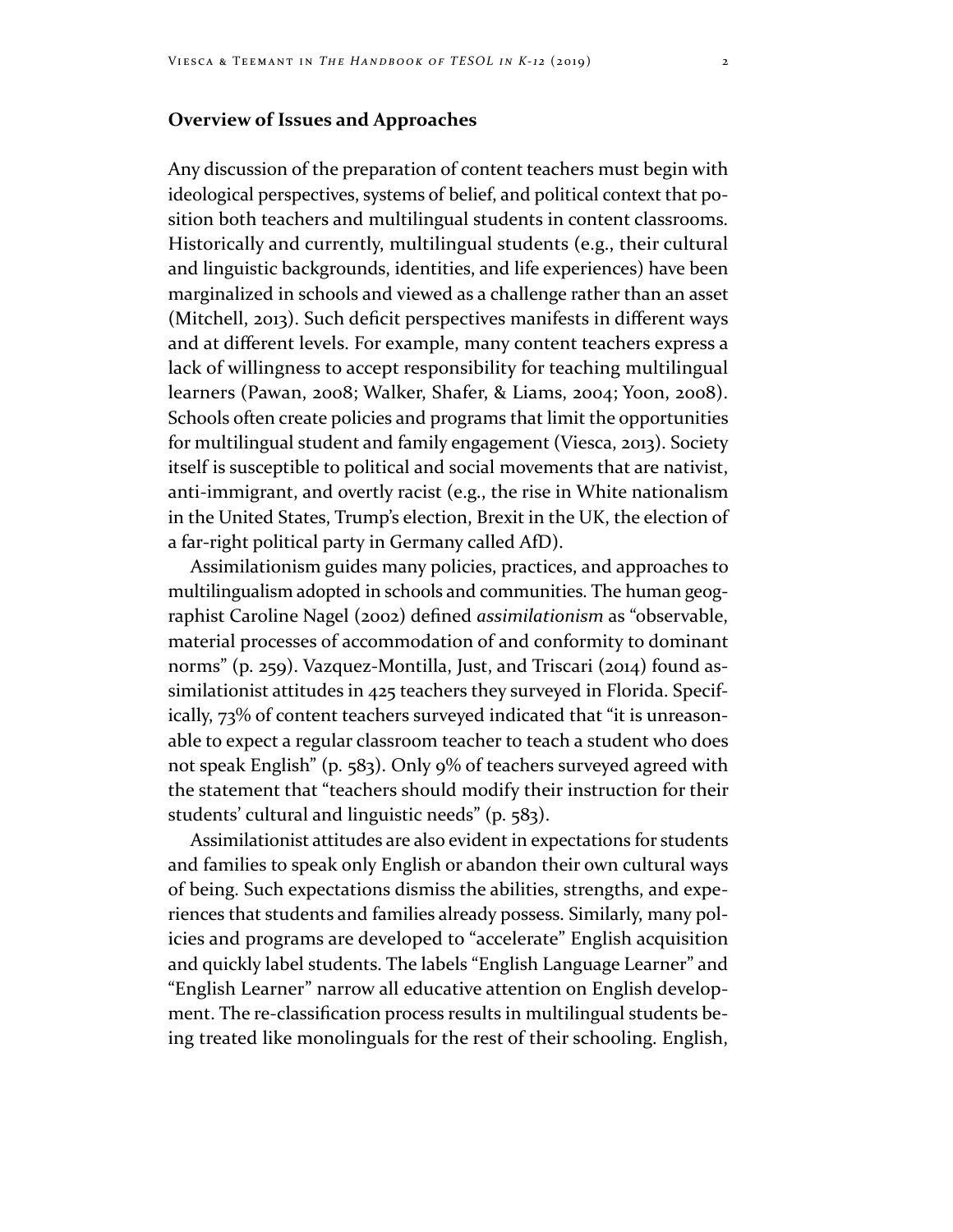# **Overview of Issues and Approaches**

Any discussion of the preparation of content teachers must begin with ideological perspectives, systems of belief, and political context that position both teachers and multilingual students in content classrooms. Historically and currently, multilingual students (e.g., their cultural and linguistic backgrounds, identities, and life experiences) have been marginalized in schools and viewed as a challenge rather than an asset (Mitchell, 2013). Such deficit perspectives manifests in different ways and at different levels. For example, many content teachers express a lack of willingness to accept responsibility for teaching multilingual learners (Pawan, 2008; Walker, Shafer, & Liams, 2004; Yoon, 2008). Schools often create policies and programs that limit the opportunities for multilingual student and family engagement (Viesca, 2013). Society itself is susceptible to political and social movements that are nativist, anti-immigrant, and overtly racist (e.g., the rise in White nationalism in the United States, Trump's election, Brexit in the UK, the election of a far-right political party in Germany called AfD).

Assimilationism guides many policies, practices, and approaches to multilingualism adopted in schools and communities. The human geographist Caroline Nagel (2002) defined *assimilationism* as "observable, material processes of accommodation of and conformity to dominant norms" (p. 259). Vazquez-Montilla, Just, and Triscari (2014) found assimilationist attitudes in 425 teachers they surveyed in Florida. Specifically, 73% of content teachers surveyed indicated that "it is unreasonable to expect a regular classroom teacher to teach a student who does not speak English" (p. 583). Only 9% of teachers surveyed agreed with the statement that "teachers should modify their instruction for their students' cultural and linguistic needs" (p. 583).

Assimilationist attitudes are also evident in expectations for students and families to speak only English or abandon their own cultural ways of being. Such expectations dismiss the abilities, strengths, and experiences that students and families already possess. Similarly, many policies and programs are developed to "accelerate" English acquisition and quickly label students. The labels "English Language Learner" and "English Learner" narrow all educative attention on English development. The re-classification process results in multilingual students being treated like monolinguals for the rest of their schooling. English,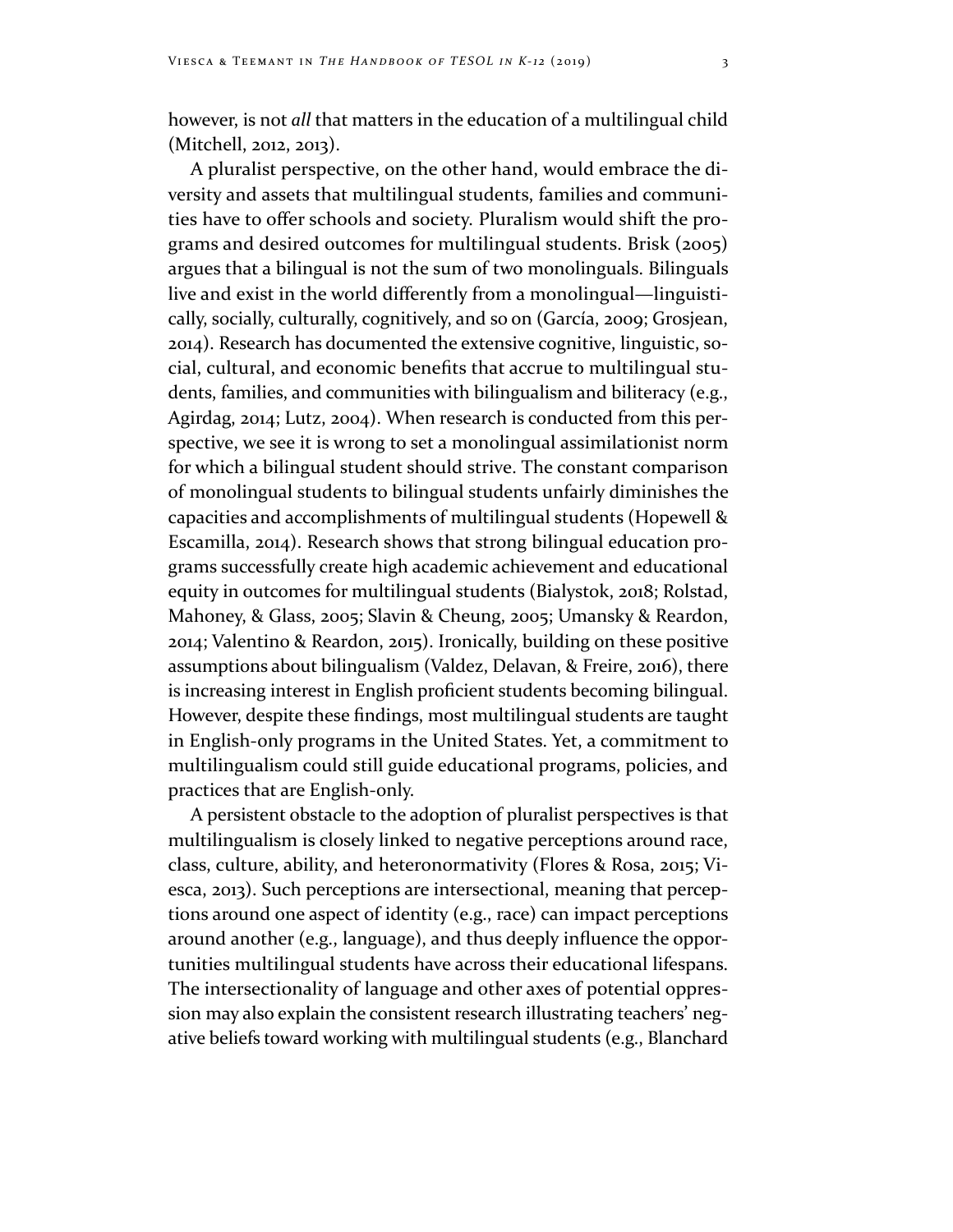however, is not *all* that matters in the education of a multilingual child (Mitchell, 2012, 2013).

A pluralist perspective, on the other hand, would embrace the diversity and assets that multilingual students, families and communities have to offer schools and society. Pluralism would shift the programs and desired outcomes for multilingual students. Brisk (2005) argues that a bilingual is not the sum of two monolinguals. Bilinguals live and exist in the world differently from a monolingual—linguistically, socially, culturally, cognitively, and so on (García, 2009; Grosjean, 2014). Research has documented the extensive cognitive, linguistic, social, cultural, and economic benefits that accrue to multilingual students, families, and communities with bilingualism and biliteracy (e.g., Agirdag, 2014; Lutz, 2004). When research is conducted from this perspective, we see it is wrong to set a monolingual assimilationist norm for which a bilingual student should strive. The constant comparison of monolingual students to bilingual students unfairly diminishes the capacities and accomplishments of multilingual students (Hopewell & Escamilla, 2014). Research shows that strong bilingual education programs successfully create high academic achievement and educational equity in outcomes for multilingual students (Bialystok, 2018; Rolstad, Mahoney, & Glass, 2005; Slavin & Cheung, 2005; Umansky & Reardon, 2014; Valentino & Reardon, 2015). Ironically, building on these positive assumptions about bilingualism (Valdez, Delavan, & Freire, 2016), there is increasing interest in English proficient students becoming bilingual. However, despite these findings, most multilingual students are taught in English-only programs in the United States. Yet, a commitment to multilingualism could still guide educational programs, policies, and practices that are English-only.

A persistent obstacle to the adoption of pluralist perspectives is that multilingualism is closely linked to negative perceptions around race, class, culture, ability, and heteronormativity (Flores & Rosa, 2015; Viesca, 2013). Such perceptions are intersectional, meaning that perceptions around one aspect of identity (e.g., race) can impact perceptions around another (e.g., language), and thus deeply influence the opportunities multilingual students have across their educational lifespans. The intersectionality of language and other axes of potential oppression may also explain the consistent research illustrating teachers' negative beliefs toward working with multilingual students (e.g., Blanchard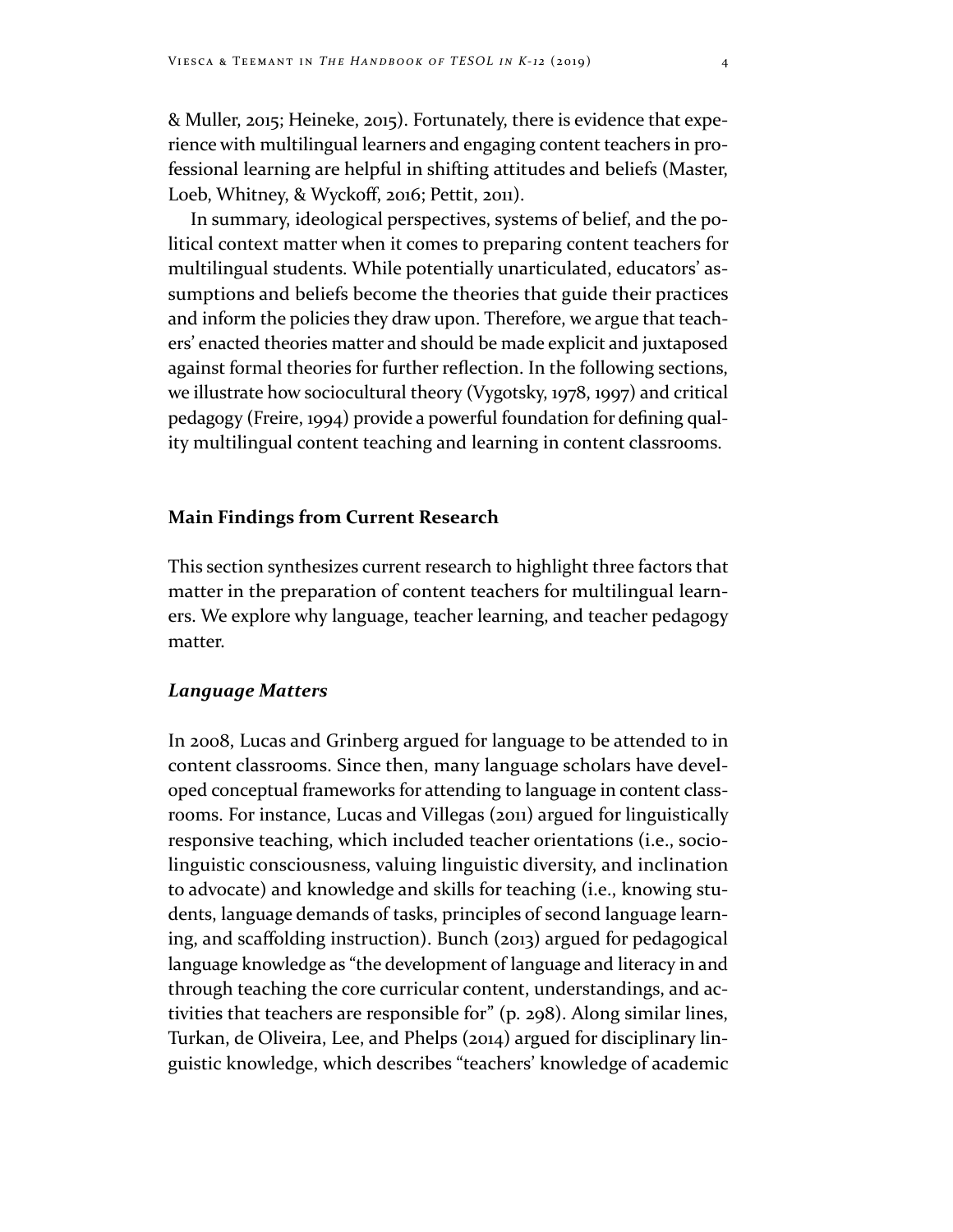& Muller, 2015; Heineke, 2015). Fortunately, there is evidence that experience with multilingual learners and engaging content teachers in professional learning are helpful in shifting attitudes and beliefs (Master, Loeb, Whitney, & Wyckoff, 2016; Pettit, 2011).

In summary, ideological perspectives, systems of belief, and the political context matter when it comes to preparing content teachers for multilingual students. While potentially unarticulated, educators' assumptions and beliefs become the theories that guide their practices and inform the policies they draw upon. Therefore, we argue that teachers' enacted theories matter and should be made explicit and juxtaposed against formal theories for further reflection. In the following sections, we illustrate how sociocultural theory (Vygotsky, 1978, 1997) and critical pedagogy (Freire, 1994) provide a powerful foundation for defining quality multilingual content teaching and learning in content classrooms.

## **Main Findings from Current Research**

This section synthesizes current research to highlight three factors that matter in the preparation of content teachers for multilingual learners. We explore why language, teacher learning, and teacher pedagogy matter.

### *Language Matters*

In 2008, Lucas and Grinberg argued for language to be attended to in content classrooms. Since then, many language scholars have developed conceptual frameworks for attending to language in content classrooms. For instance, Lucas and Villegas (2011) argued for linguistically responsive teaching, which included teacher orientations (i.e., sociolinguistic consciousness, valuing linguistic diversity, and inclination to advocate) and knowledge and skills for teaching (i.e., knowing students, language demands of tasks, principles of second language learning, and scaffolding instruction). Bunch (2013) argued for pedagogical language knowledge as "the development of language and literacy in and through teaching the core curricular content, understandings, and activities that teachers are responsible for" (p. 298). Along similar lines, Turkan, de Oliveira, Lee, and Phelps (2014) argued for disciplinary linguistic knowledge, which describes "teachers' knowledge of academic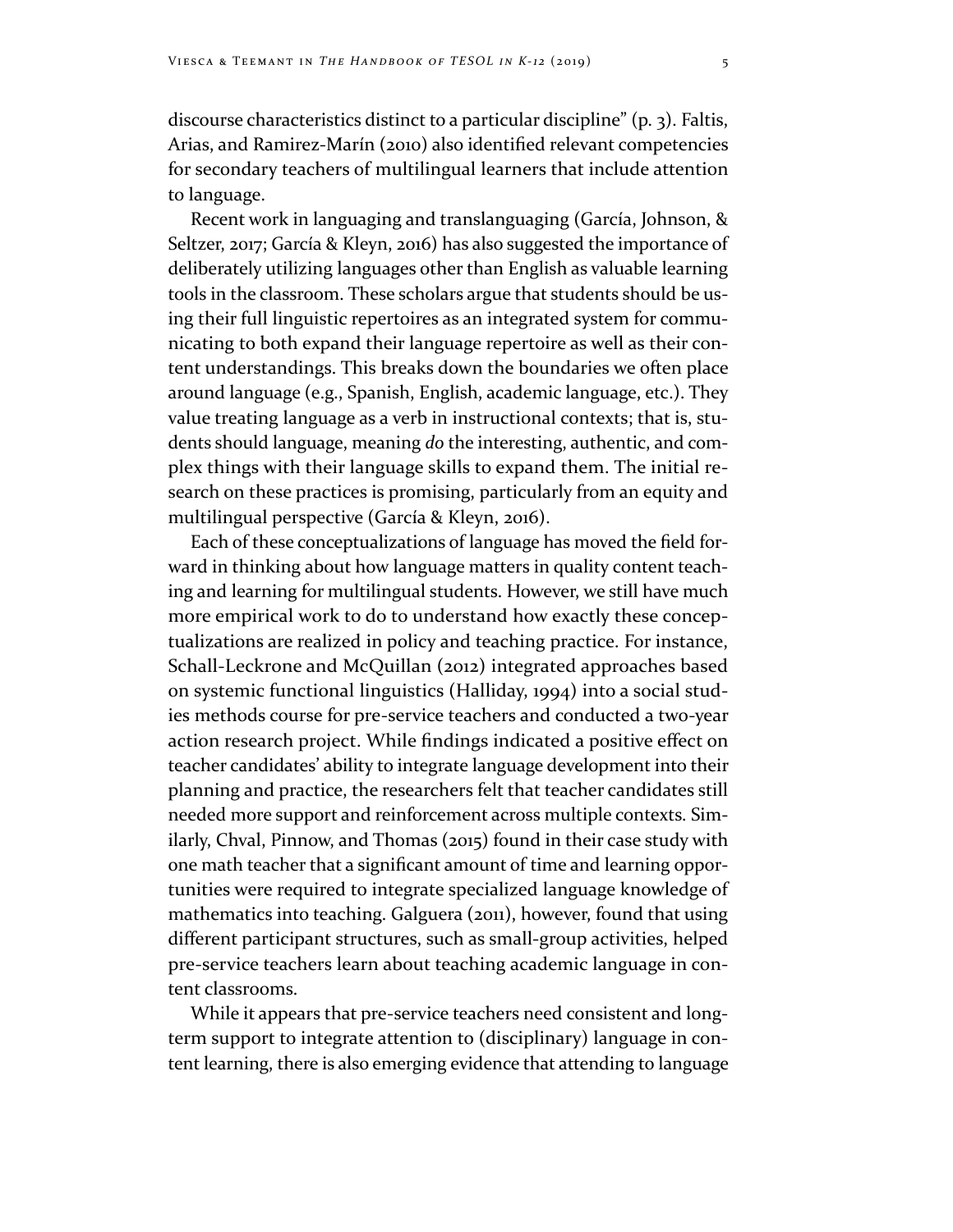discourse characteristics distinct to a particular discipline" (p. 3). Faltis, Arias, and Ramirez‐Marín (2010) also identified relevant competencies for secondary teachers of multilingual learners that include attention to language.

Recent work in languaging and translanguaging (García, Johnson, & Seltzer, 2017; García & Kleyn, 2016) has also suggested the importance of deliberately utilizing languages other than English as valuable learning tools in the classroom. These scholars argue that students should be using their full linguistic repertoires as an integrated system for communicating to both expand their language repertoire as well as their content understandings. This breaks down the boundaries we often place around language (e.g., Spanish, English, academic language, etc.). They value treating language as a verb in instructional contexts; that is, students should language, meaning *do* the interesting, authentic, and complex things with their language skills to expand them. The initial research on these practices is promising, particularly from an equity and multilingual perspective (García & Kleyn, 2016).

Each of these conceptualizations of language has moved the field forward in thinking about how language matters in quality content teaching and learning for multilingual students. However, we still have much more empirical work to do to understand how exactly these conceptualizations are realized in policy and teaching practice. For instance, Schall-Leckrone and McQuillan (2012) integrated approaches based on systemic functional linguistics (Halliday, 1994) into a social studies methods course for pre-service teachers and conducted a two-year action research project. While findings indicated a positive effect on teacher candidates' ability to integrate language development into their planning and practice, the researchers felt that teacher candidates still needed more support and reinforcement across multiple contexts. Similarly, Chval, Pinnow, and Thomas (2015) found in their case study with one math teacher that a significant amount of time and learning opportunities were required to integrate specialized language knowledge of mathematics into teaching. Galguera (2011), however, found that using different participant structures, such as small-group activities, helped pre-service teachers learn about teaching academic language in content classrooms.

While it appears that pre-service teachers need consistent and longterm support to integrate attention to (disciplinary) language in content learning, there is also emerging evidence that attending to language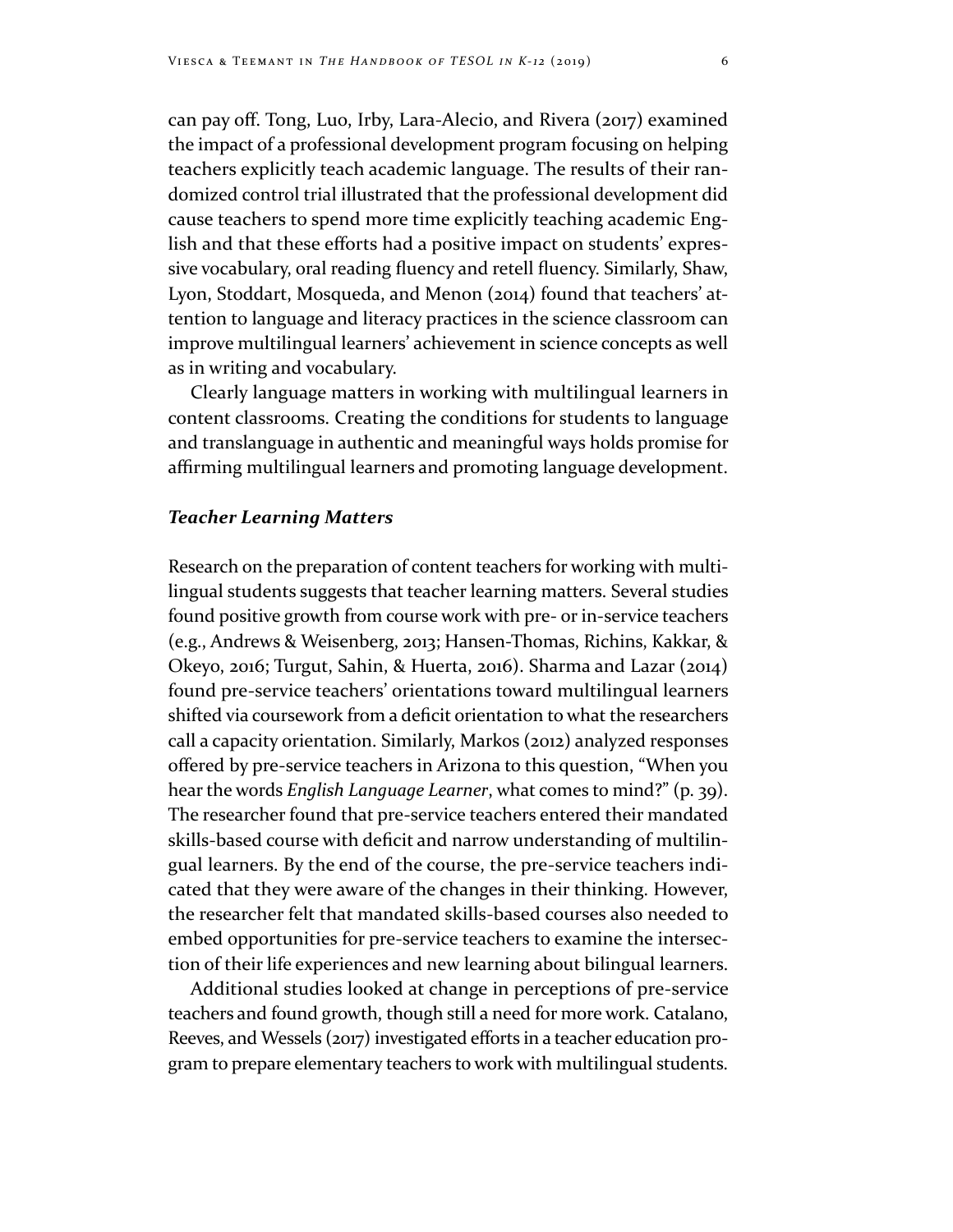can pay off. Tong, Luo, Irby, Lara‐Alecio, and Rivera (2017) examined the impact of a professional development program focusing on helping teachers explicitly teach academic language. The results of their randomized control trial illustrated that the professional development did cause teachers to spend more time explicitly teaching academic English and that these efforts had a positive impact on students' expressive vocabulary, oral reading fluency and retell fluency. Similarly, Shaw, Lyon, Stoddart, Mosqueda, and Menon (2014) found that teachers' attention to language and literacy practices in the science classroom can improve multilingual learners' achievement in science concepts as well as in writing and vocabulary.

Clearly language matters in working with multilingual learners in content classrooms. Creating the conditions for students to language and translanguage in authentic and meaningful ways holds promise for affirming multilingual learners and promoting language development.

#### *Teacher Learning Matters*

Research on the preparation of content teachers for working with multilingual students suggests that teacher learning matters. Several studies found positive growth from course work with pre- or in-service teachers (e.g., Andrews & Weisenberg, 2013; Hansen-Thomas, Richins, Kakkar, & Okeyo, 2016; Turgut, Sahin, & Huerta, 2016). Sharma and Lazar (2014) found pre-service teachers' orientations toward multilingual learners shifted via coursework from a deficit orientation to what the researchers call a capacity orientation. Similarly, Markos (2012) analyzed responses offered by pre‐service teachers in Arizona to this question, "When you hear the words *English Language Learner*, what comes to mind?" (p. 39). The researcher found that pre-service teachers entered their mandated skills‐based course with deficit and narrow understanding of multilingual learners. By the end of the course, the pre-service teachers indicated that they were aware of the changes in their thinking. However, the researcher felt that mandated skills-based courses also needed to embed opportunities for pre-service teachers to examine the intersection of their life experiences and new learning about bilingual learners.

Additional studies looked at change in perceptions of pre-service teachers and found growth, though still a need for more work. Catalano, Reeves, and Wessels (2017) investigated efforts in a teacher education program to prepare elementary teachers to work with multilingual students.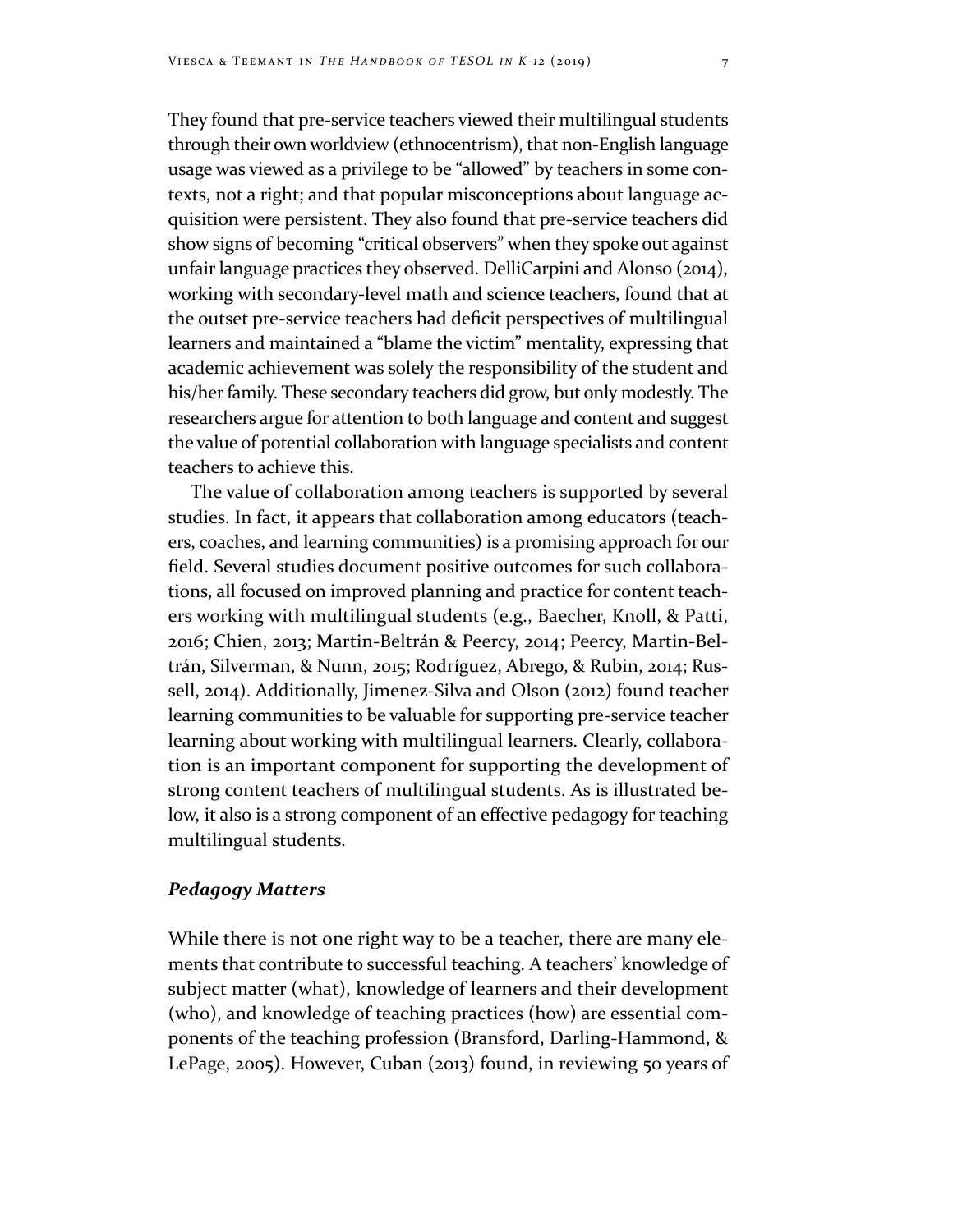They found that pre-service teachers viewed their multilingual students through their own worldview (ethnocentrism), that non-English language usage was viewed as a privilege to be "allowed" by teachers in some contexts, not a right; and that popular misconceptions about language acquisition were persistent. They also found that pre-service teachers did show signs of becoming "critical observers" when they spoke out against unfair language practices they observed. DelliCarpini and Alonso (2014), working with secondary-level math and science teachers, found that at the outset pre‐service teachers had deficit perspectives of multilingual learners and maintained a "blame the victim" mentality, expressing that academic achievement was solely the responsibility of the student and his/her family. These secondary teachers did grow, but only modestly. The researchers argue for attention to both language and content and suggest the value of potential collaboration with language specialists and content teachers to achieve this.

The value of collaboration among teachers is supported by several studies. In fact, it appears that collaboration among educators (teachers, coaches, and learning communities) is a promising approach for our field. Several studies document positive outcomes for such collaborations, all focused on improved planning and practice for content teachers working with multilingual students (e.g., Baecher, Knoll, & Patti, 2016; Chien, 2013; Martin‐Beltrán & Peercy, 2014; Peercy, Martin‐Beltrán, Silverman, & Nunn, 2015; Rodríguez, Abrego, & Rubin, 2014; Russell, 2014). Additionally, Jimenez-Silva and Olson (2012) found teacher learning communities to be valuable for supporting pre-service teacher learning about working with multilingual learners. Clearly, collaboration is an important component for supporting the development of strong content teachers of multilingual students. As is illustrated below, it also is a strong component of an effective pedagogy for teaching multilingual students.

# *Pedagogy Matters*

While there is not one right way to be a teacher, there are many elements that contribute to successful teaching. A teachers' knowledge of subject matter (what), knowledge of learners and their development (who), and knowledge of teaching practices (how) are essential components of the teaching profession (Bransford, Darling-Hammond, & LePage, 2005). However, Cuban (2013) found, in reviewing 50 years of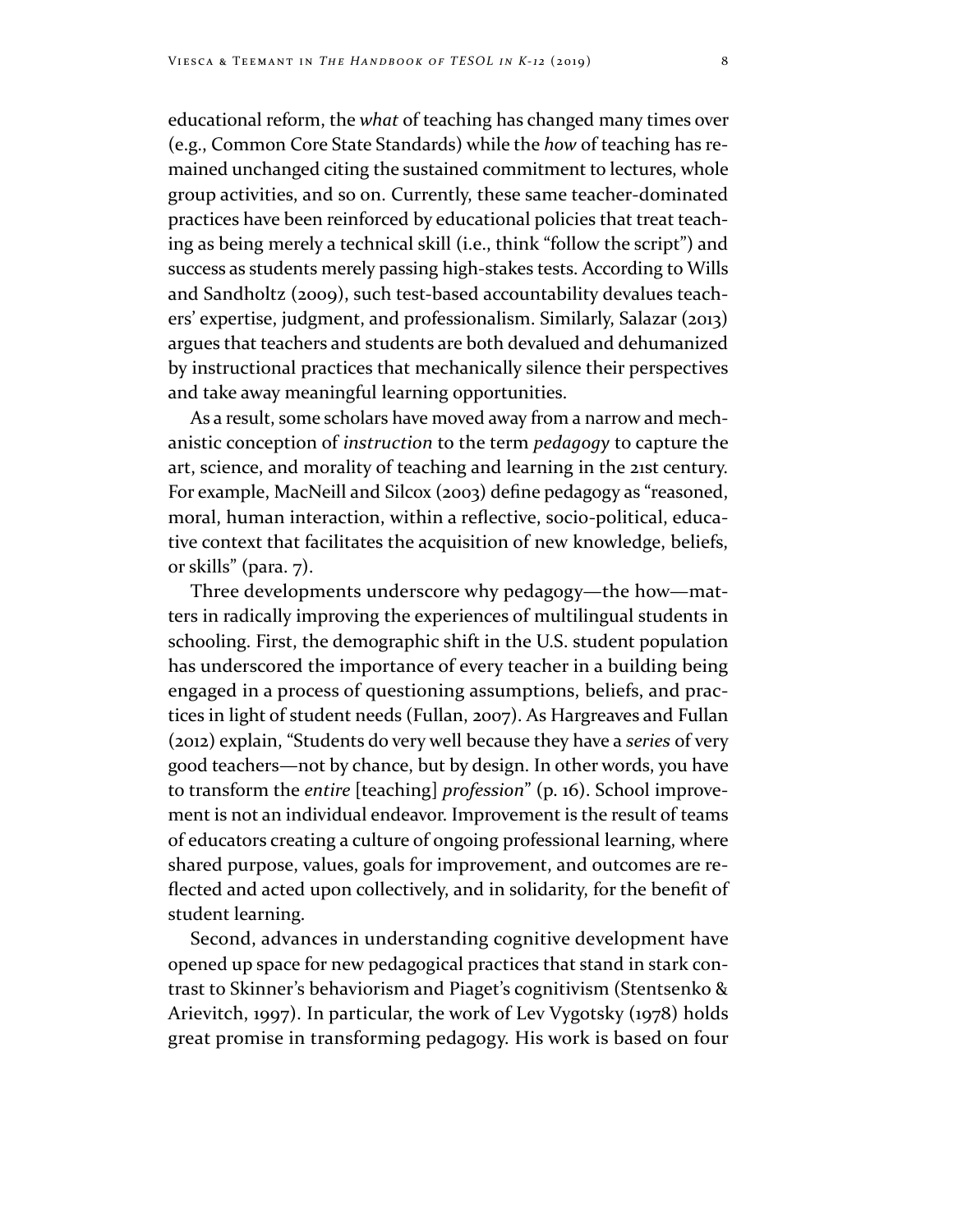educational reform, the *what* of teaching has changed many times over (e.g., Common Core State Standards) while the *how* of teaching has remained unchanged citing the sustained commitment to lectures, whole group activities, and so on. Currently, these same teacher-dominated practices have been reinforced by educational policies that treat teaching as being merely a technical skill (i.e., think "follow the script") and success as students merely passing high-stakes tests. According to Wills and Sandholtz (2009), such test-based accountability devalues teachers' expertise, judgment, and professionalism. Similarly, Salazar (2013) argues that teachers and students are both devalued and dehumanized by instructional practices that mechanically silence their perspectives and take away meaningful learning opportunities.

As a result, some scholars have moved away from a narrow and mechanistic conception of *instruction* to the term *pedagogy* to capture the art, science, and morality of teaching and learning in the 21st century. For example, MacNeill and Silcox (2003) define pedagogy as "reasoned, moral, human interaction, within a reflective, socio‐political, educative context that facilitates the acquisition of new knowledge, beliefs, or skills" (para. 7).

Three developments underscore why pedagogy—the how—matters in radically improving the experiences of multilingual students in schooling. First, the demographic shift in the U.S. student population has underscored the importance of every teacher in a building being engaged in a process of questioning assumptions, beliefs, and practices in light of student needs (Fullan, 2007). As Hargreaves and Fullan (2012) explain, "Students do very well because they have a *series* of very good teachers—not by chance, but by design. In other words, you have to transform the *entire* [teaching] *profession*" (p. 16). School improvement is not an individual endeavor. Improvement is the result of teams of educators creating a culture of ongoing professional learning, where shared purpose, values, goals for improvement, and outcomes are reflected and acted upon collectively, and in solidarity, for the benefit of student learning.

Second, advances in understanding cognitive development have opened up space for new pedagogical practices that stand in stark contrast to Skinner's behaviorism and Piaget's cognitivism (Stentsenko & Arievitch, 1997). In particular, the work of Lev Vygotsky (1978) holds great promise in transforming pedagogy. His work is based on four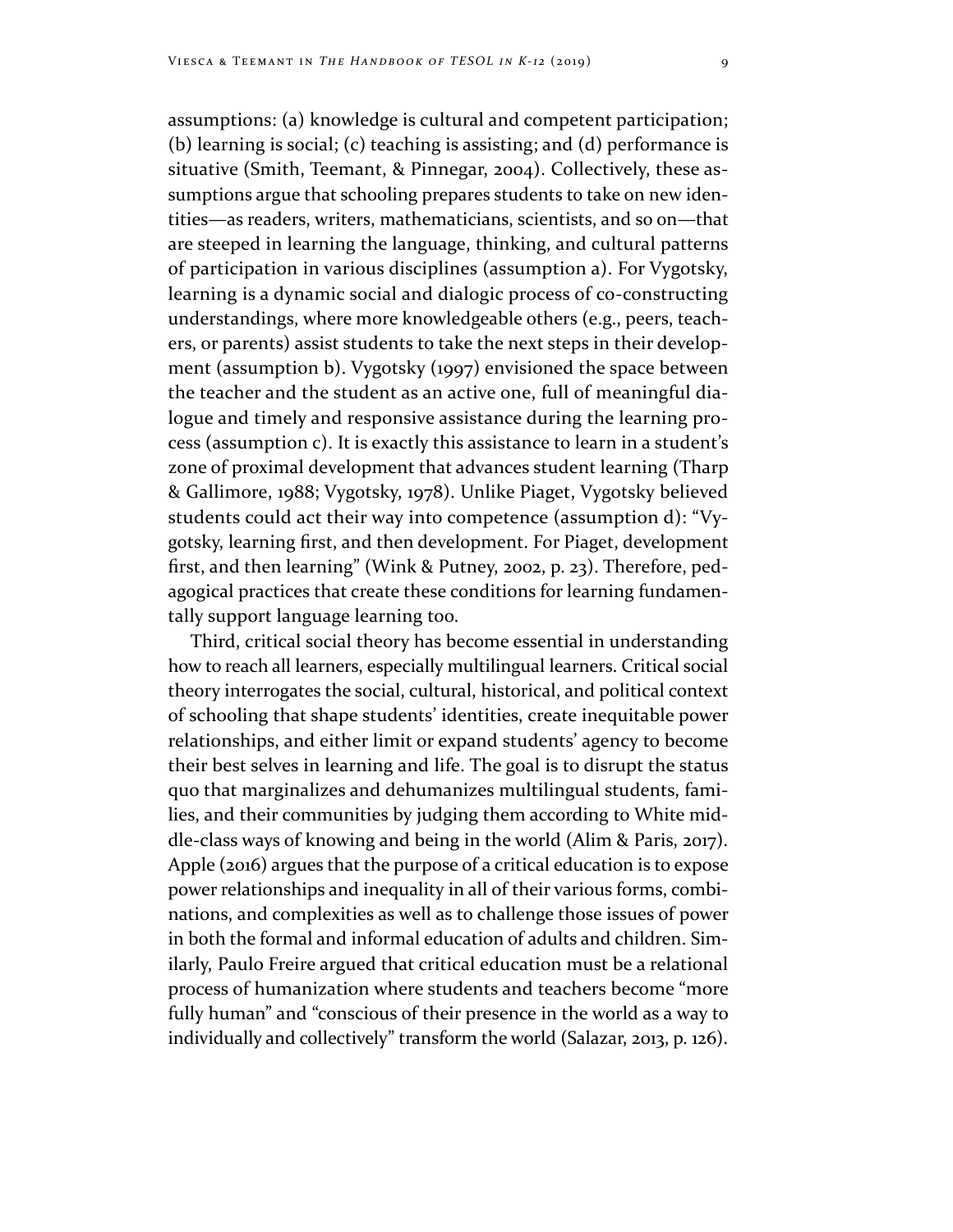assumptions: (a) knowledge is cultural and competent participation; (b) learning is social; (c) teaching is assisting; and (d) performance is situative (Smith, Teemant, & Pinnegar, 2004). Collectively, these assumptions argue that schooling prepares students to take on new identities—as readers, writers, mathematicians, scientists, and so on—that are steeped in learning the language, thinking, and cultural patterns of participation in various disciplines (assumption a). For Vygotsky, learning is a dynamic social and dialogic process of co-constructing understandings, where more knowledgeable others (e.g., peers, teachers, or parents) assist students to take the next steps in their development (assumption b). Vygotsky (1997) envisioned the space between the teacher and the student as an active one, full of meaningful dialogue and timely and responsive assistance during the learning process (assumption c). It is exactly this assistance to learn in a student's zone of proximal development that advances student learning (Tharp & Gallimore, 1988; Vygotsky, 1978). Unlike Piaget, Vygotsky believed students could act their way into competence (assumption d): "Vygotsky, learning first, and then development. For Piaget, development first, and then learning" (Wink & Putney, 2002, p. 23). Therefore, pedagogical practices that create these conditions for learning fundamentally support language learning too.

Third, critical social theory has become essential in understanding how to reach all learners, especially multilingual learners. Critical social theory interrogates the social, cultural, historical, and political context of schooling that shape students' identities, create inequitable power relationships, and either limit or expand students' agency to become their best selves in learning and life. The goal is to disrupt the status quo that marginalizes and dehumanizes multilingual students, families, and their communities by judging them according to White middle‐class ways of knowing and being in the world (Alim & Paris, 2017). Apple (2016) argues that the purpose of a critical education is to expose power relationships and inequality in all of their various forms, combinations, and complexities as well as to challenge those issues of power in both the formal and informal education of adults and children. Similarly, Paulo Freire argued that critical education must be a relational process of humanization where students and teachers become "more fully human" and "conscious of their presence in the world as a way to individually and collectively" transform the world (Salazar, 2013, p. 126).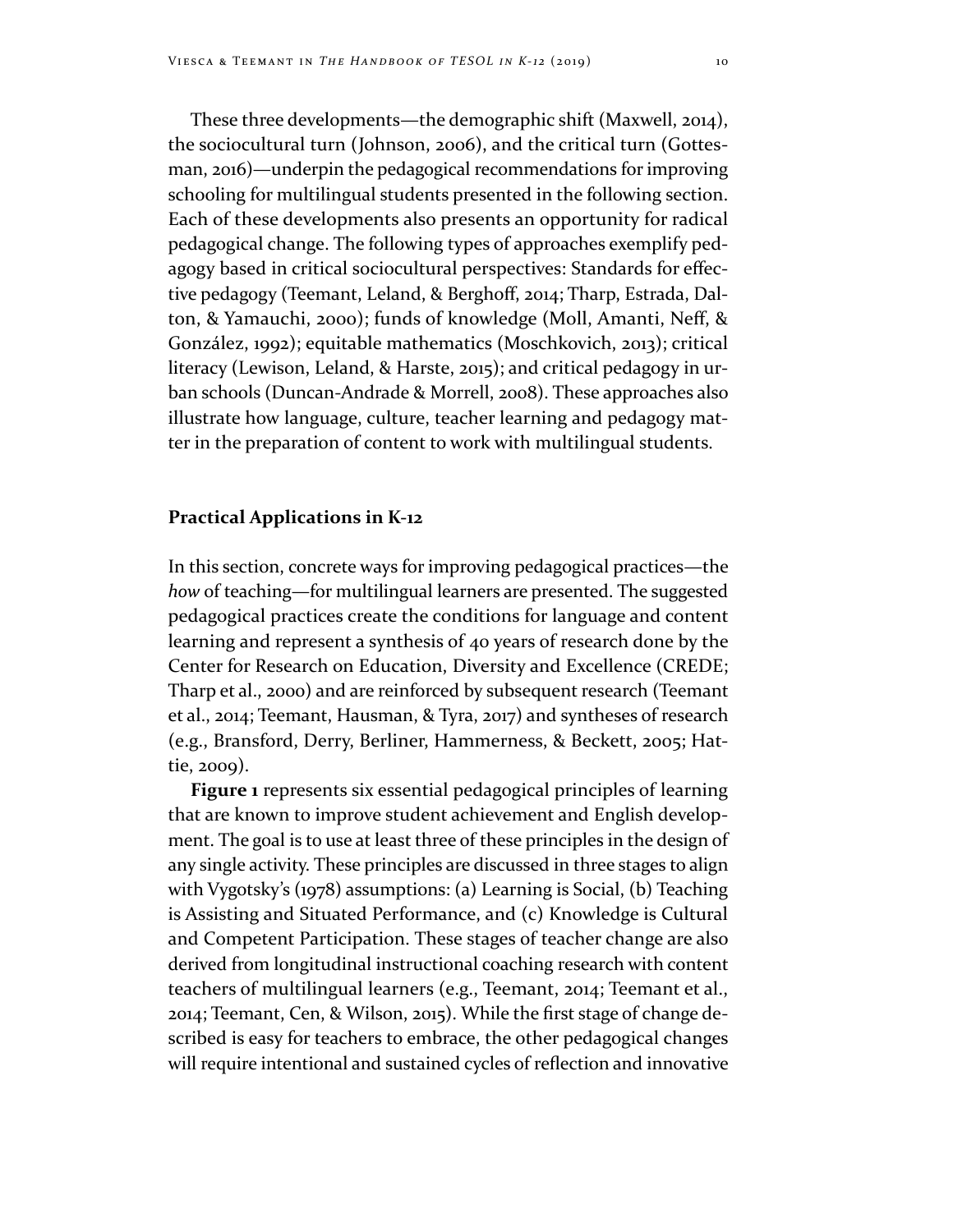These three developments—the demographic shift (Maxwell, 2014), the sociocultural turn (Johnson, 2006), and the critical turn (Gottesman, 2016)—underpin the pedagogical recommendations for improving schooling for multilingual students presented in the following section. Each of these developments also presents an opportunity for radical pedagogical change. The following types of approaches exemplify pedagogy based in critical sociocultural perspectives: Standards for effective pedagogy (Teemant, Leland, & Berghoff, 2014; Tharp, Estrada, Dalton, & Yamauchi, 2000); funds of knowledge (Moll, Amanti, Neff, & González, 1992); equitable mathematics (Moschkovich, 2013); critical literacy (Lewison, Leland, & Harste, 2015); and critical pedagogy in urban schools (Duncan-Andrade & Morrell, 2008). These approaches also illustrate how language, culture, teacher learning and pedagogy matter in the preparation of content to work with multilingual students.

### **Practical Applications in K‐12**

In this section, concrete ways for improving pedagogical practices—the *how* of teaching—for multilingual learners are presented. The suggested pedagogical practices create the conditions for language and content learning and represent a synthesis of 40 years of research done by the Center for Research on Education, Diversity and Excellence (CREDE; Tharp et al., 2000) and are reinforced by subsequent research (Teemant et al., 2014; Teemant, Hausman, & Tyra, 2017) and syntheses of research (e.g., Bransford, Derry, Berliner, Hammerness, & Beckett, 2005; Hattie, 2009).

**Figure 1** represents six essential pedagogical principles of learning that are known to improve student achievement and English development. The goal is to use at least three of these principles in the design of any single activity. These principles are discussed in three stages to align with Vygotsky's (1978) assumptions: (a) Learning is Social, (b) Teaching is Assisting and Situated Performance, and (c) Knowledge is Cultural and Competent Participation. These stages of teacher change are also derived from longitudinal instructional coaching research with content teachers of multilingual learners (e.g., Teemant, 2014; Teemant et al., 2014; Teemant, Cen, & Wilson, 2015). While the first stage of change described is easy for teachers to embrace, the other pedagogical changes will require intentional and sustained cycles of reflection and innovative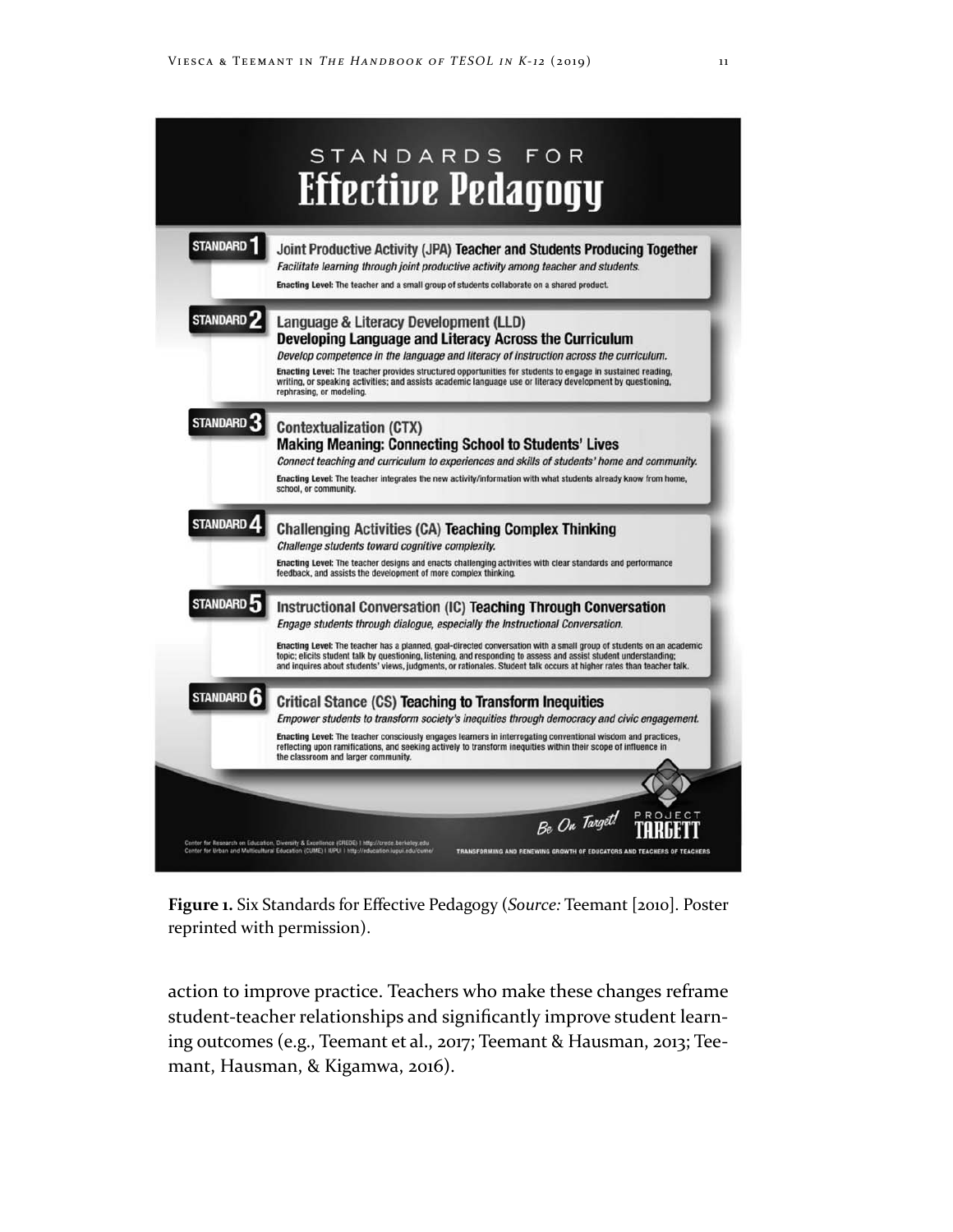

**Figure 1.** Six Standards for Effective Pedagogy (*Source:* Teemant [2010]. Poster reprinted with permission).

action to improve practice. Teachers who make these changes reframe student-teacher relationships and significantly improve student learning outcomes (e.g., Teemant et al., 2017; Teemant & Hausman, 2013; Teemant, Hausman, & Kigamwa, 2016).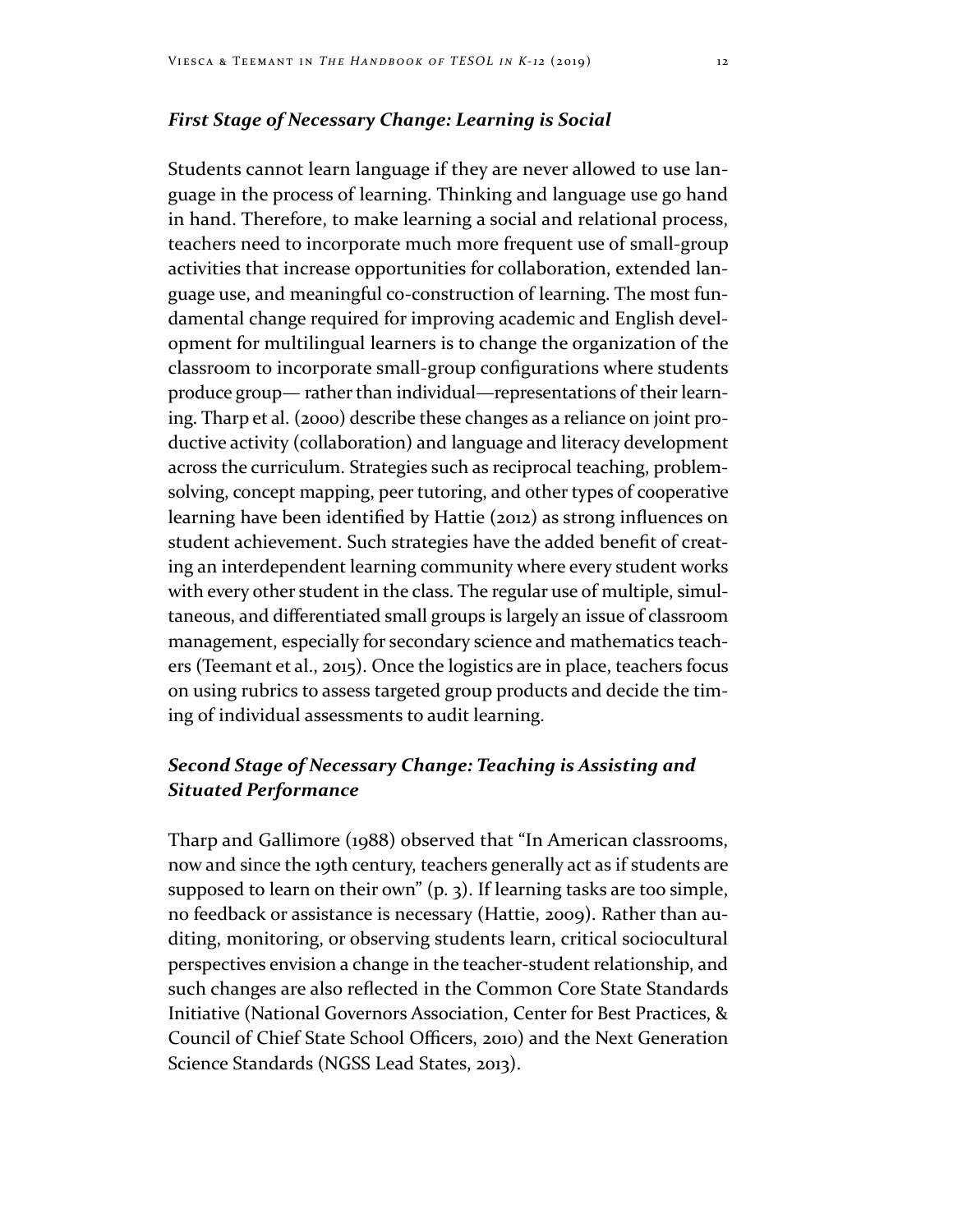### *First Stage of Necessary Change: Learning is Social*

Students cannot learn language if they are never allowed to use language in the process of learning. Thinking and language use go hand in hand. Therefore, to make learning a social and relational process, teachers need to incorporate much more frequent use of small-group activities that increase opportunities for collaboration, extended language use, and meaningful co-construction of learning. The most fundamental change required for improving academic and English development for multilingual learners is to change the organization of the classroom to incorporate small‐group configurations where students produce group— rather than individual—representations of their learning. Tharp et al. (2000) describe these changes as a reliance on joint productive activity (collaboration) and language and literacy development across the curriculum. Strategies such as reciprocal teaching, problemsolving, concept mapping, peer tutoring, and other types of cooperative learning have been identified by Hattie (2012) as strong influences on student achievement. Such strategies have the added benefit of creating an interdependent learning community where every student works with every other student in the class. The regular use of multiple, simultaneous, and differentiated small groups is largely an issue of classroom management, especially for secondary science and mathematics teachers (Teemant et al., 2015). Once the logistics are in place, teachers focus on using rubrics to assess targeted group products and decide the timing of individual assessments to audit learning.

# *Second Stage of Necessary Change: Teaching is Assisting and Situated Performance*

Tharp and Gallimore (1988) observed that "In American classrooms, now and since the 19th century, teachers generally act as if students are supposed to learn on their own" (p. 3). If learning tasks are too simple, no feedback or assistance is necessary (Hattie, 2009). Rather than auditing, monitoring, or observing students learn, critical sociocultural perspectives envision a change in the teacher-student relationship, and such changes are also reflected in the Common Core State Standards Initiative (National Governors Association, Center for Best Practices, & Council of Chief State School Officers, 2010) and the Next Generation Science Standards (NGSS Lead States, 2013).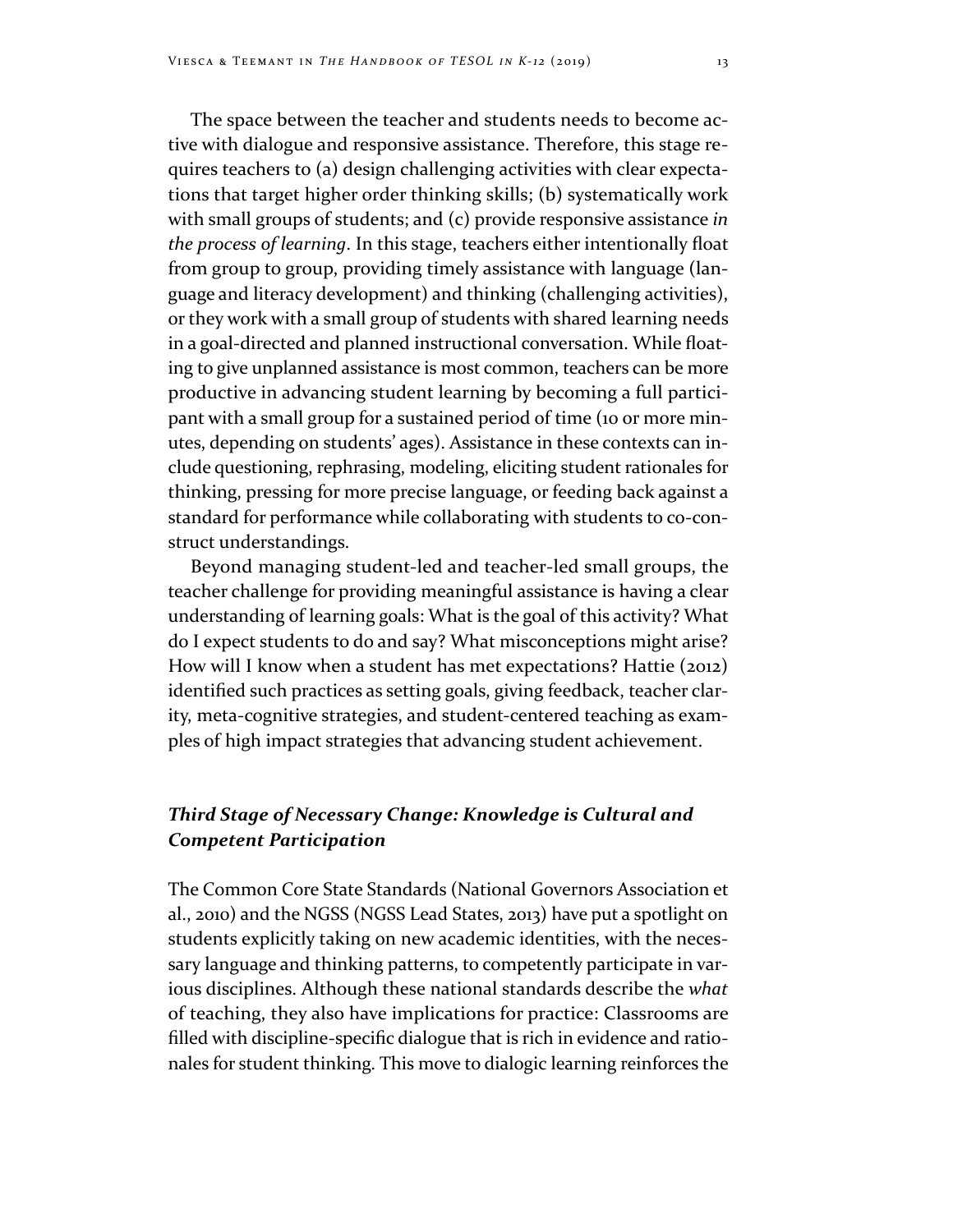The space between the teacher and students needs to become active with dialogue and responsive assistance. Therefore, this stage requires teachers to (a) design challenging activities with clear expectations that target higher order thinking skills; (b) systematically work with small groups of students; and (c) provide responsive assistance *in the process of learning*. In this stage, teachers either intentionally float from group to group, providing timely assistance with language (language and literacy development) and thinking (challenging activities), or they work with a small group of students with shared learning needs in a goal-directed and planned instructional conversation. While floating to give unplanned assistance is most common, teachers can be more productive in advancing student learning by becoming a full participant with a small group for a sustained period of time (10 or more minutes, depending on students' ages). Assistance in these contexts can include questioning, rephrasing, modeling, eliciting student rationales for thinking, pressing for more precise language, or feeding back against a standard for performance while collaborating with students to co-construct understandings.

Beyond managing student-led and teacher-led small groups, the teacher challenge for providing meaningful assistance is having a clear understanding of learning goals: What is the goal of this activity? What do I expect students to do and say? What misconceptions might arise? How will I know when a student has met expectations? Hattie (2012) identified such practices as setting goals, giving feedback, teacher clarity, meta‐cognitive strategies, and student‐centered teaching as examples of high impact strategies that advancing student achievement.

# *Third Stage of Necessary Change: Knowledge is Cultural and Competent Participation*

The Common Core State Standards (National Governors Association et al., 2010) and the NGSS (NGSS Lead States, 2013) have put a spotlight on students explicitly taking on new academic identities, with the necessary language and thinking patterns, to competently participate in various disciplines. Although these national standards describe the *what*  of teaching, they also have implications for practice: Classrooms are filled with discipline-specific dialogue that is rich in evidence and rationales for student thinking. This move to dialogic learning reinforces the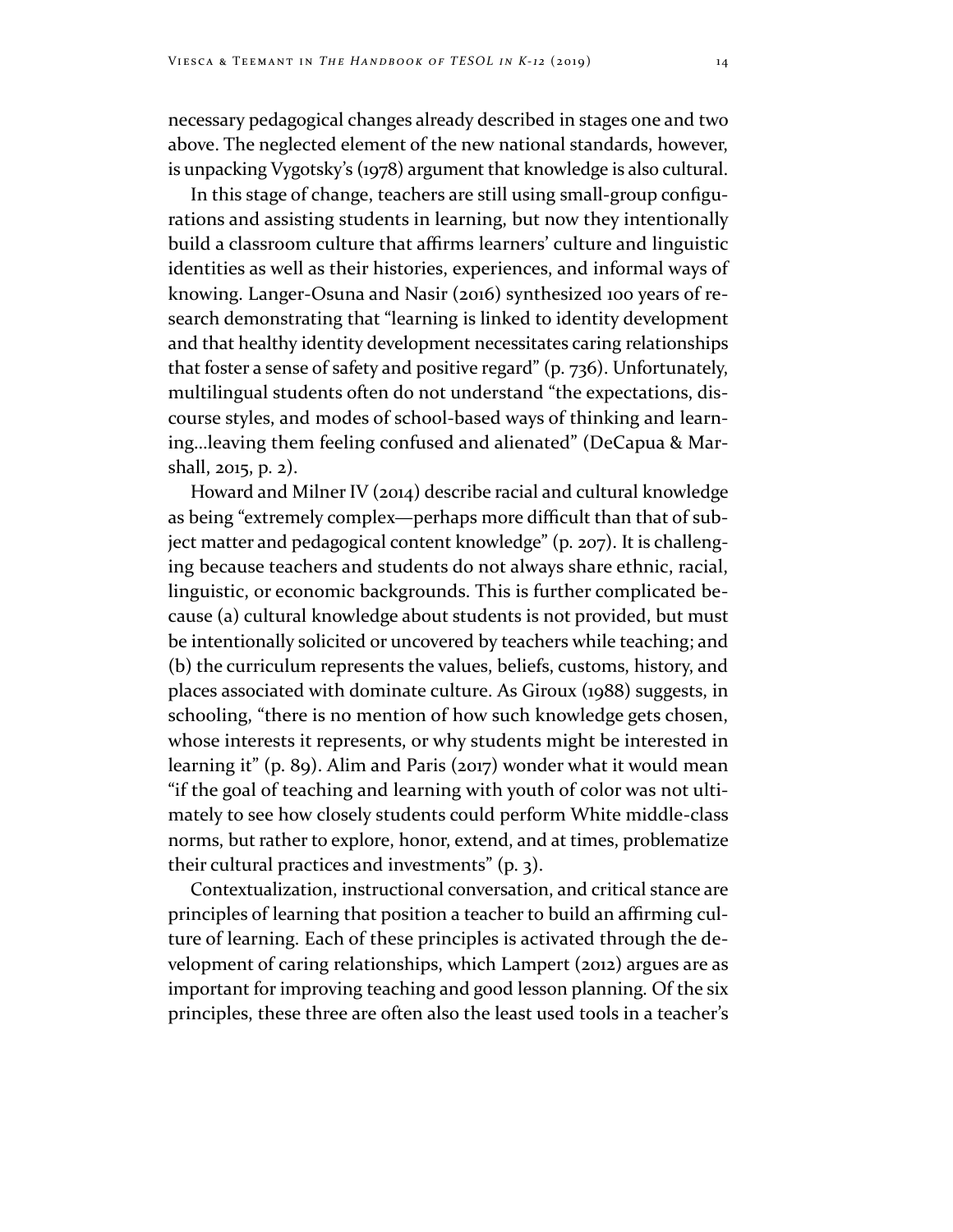necessary pedagogical changes already described in stages one and two above. The neglected element of the new national standards, however, is unpacking Vygotsky's (1978) argument that knowledge is also cultural.

In this stage of change, teachers are still using small‐group configurations and assisting students in learning, but now they intentionally build a classroom culture that affirms learners' culture and linguistic identities as well as their histories, experiences, and informal ways of knowing. Langer‐Osuna and Nasir (2016) synthesized 100 years of research demonstrating that "learning is linked to identity development and that healthy identity development necessitates caring relationships that foster a sense of safety and positive regard" (p. 736). Unfortunately, multilingual students often do not understand "the expectations, discourse styles, and modes of school-based ways of thinking and learning…leaving them feeling confused and alienated" (DeCapua & Marshall, 2015, p. 2).

Howard and Milner IV (2014) describe racial and cultural knowledge as being "extremely complex—perhaps more difficult than that of subject matter and pedagogical content knowledge" (p. 207). It is challenging because teachers and students do not always share ethnic, racial, linguistic, or economic backgrounds. This is further complicated because (a) cultural knowledge about students is not provided, but must be intentionally solicited or uncovered by teachers while teaching; and (b) the curriculum represents the values, beliefs, customs, history, and places associated with dominate culture. As Giroux (1988) suggests, in schooling, "there is no mention of how such knowledge gets chosen, whose interests it represents, or why students might be interested in learning it" (p. 89). Alim and Paris (2017) wonder what it would mean "if the goal of teaching and learning with youth of color was not ultimately to see how closely students could perform White middle-class norms, but rather to explore, honor, extend, and at times, problematize their cultural practices and investments" (p. 3).

Contextualization, instructional conversation, and critical stance are principles of learning that position a teacher to build an affirming culture of learning. Each of these principles is activated through the development of caring relationships, which Lampert (2012) argues are as important for improving teaching and good lesson planning. Of the six principles, these three are often also the least used tools in a teacher's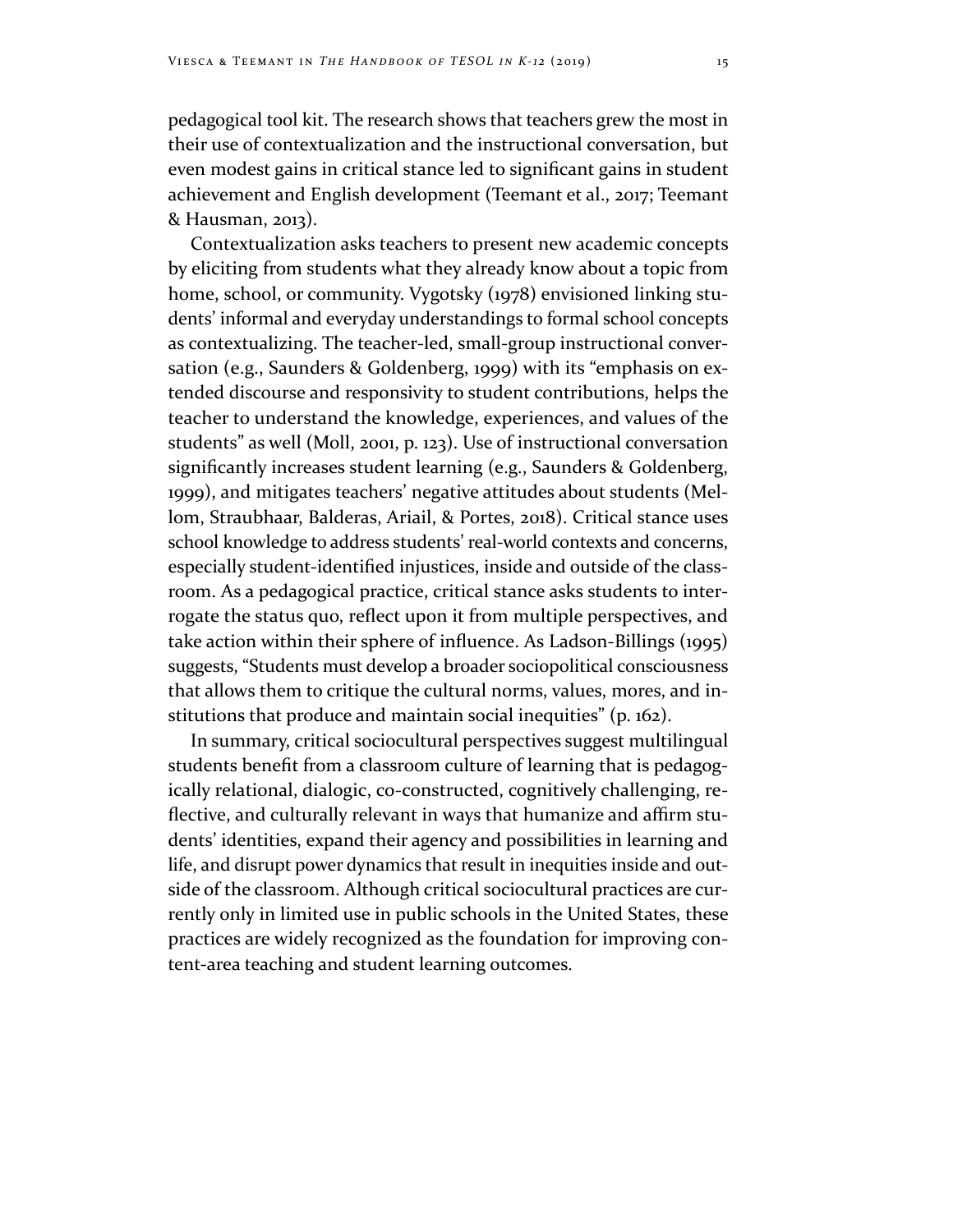pedagogical tool kit. The research shows that teachers grew the most in their use of contextualization and the instructional conversation, but even modest gains in critical stance led to significant gains in student achievement and English development (Teemant et al., 2017; Teemant & Hausman, 2013).

Contextualization asks teachers to present new academic concepts by eliciting from students what they already know about a topic from home, school, or community. Vygotsky (1978) envisioned linking students' informal and everyday understandings to formal school concepts as contextualizing. The teacher‐led, small‐group instructional conversation (e.g., Saunders & Goldenberg, 1999) with its "emphasis on extended discourse and responsivity to student contributions, helps the teacher to understand the knowledge, experiences, and values of the students" as well (Moll, 2001, p. 123). Use of instructional conversation significantly increases student learning (e.g., Saunders & Goldenberg, 1999), and mitigates teachers' negative attitudes about students (Mellom, Straubhaar, Balderas, Ariail, & Portes, 2018). Critical stance uses school knowledge to address students' real‐world contexts and concerns, especially student‐identified injustices, inside and outside of the classroom. As a pedagogical practice, critical stance asks students to interrogate the status quo, reflect upon it from multiple perspectives, and take action within their sphere of influence. As Ladson‐Billings (1995) suggests, "Students must develop a broader sociopolitical consciousness that allows them to critique the cultural norms, values, mores, and institutions that produce and maintain social inequities" (p. 162).

In summary, critical sociocultural perspectives suggest multilingual students benefit from a classroom culture of learning that is pedagogically relational, dialogic, co-constructed, cognitively challenging, reflective, and culturally relevant in ways that humanize and affirm students' identities, expand their agency and possibilities in learning and life, and disrupt power dynamics that result in inequities inside and outside of the classroom. Although critical sociocultural practices are currently only in limited use in public schools in the United States, these practices are widely recognized as the foundation for improving content-area teaching and student learning outcomes.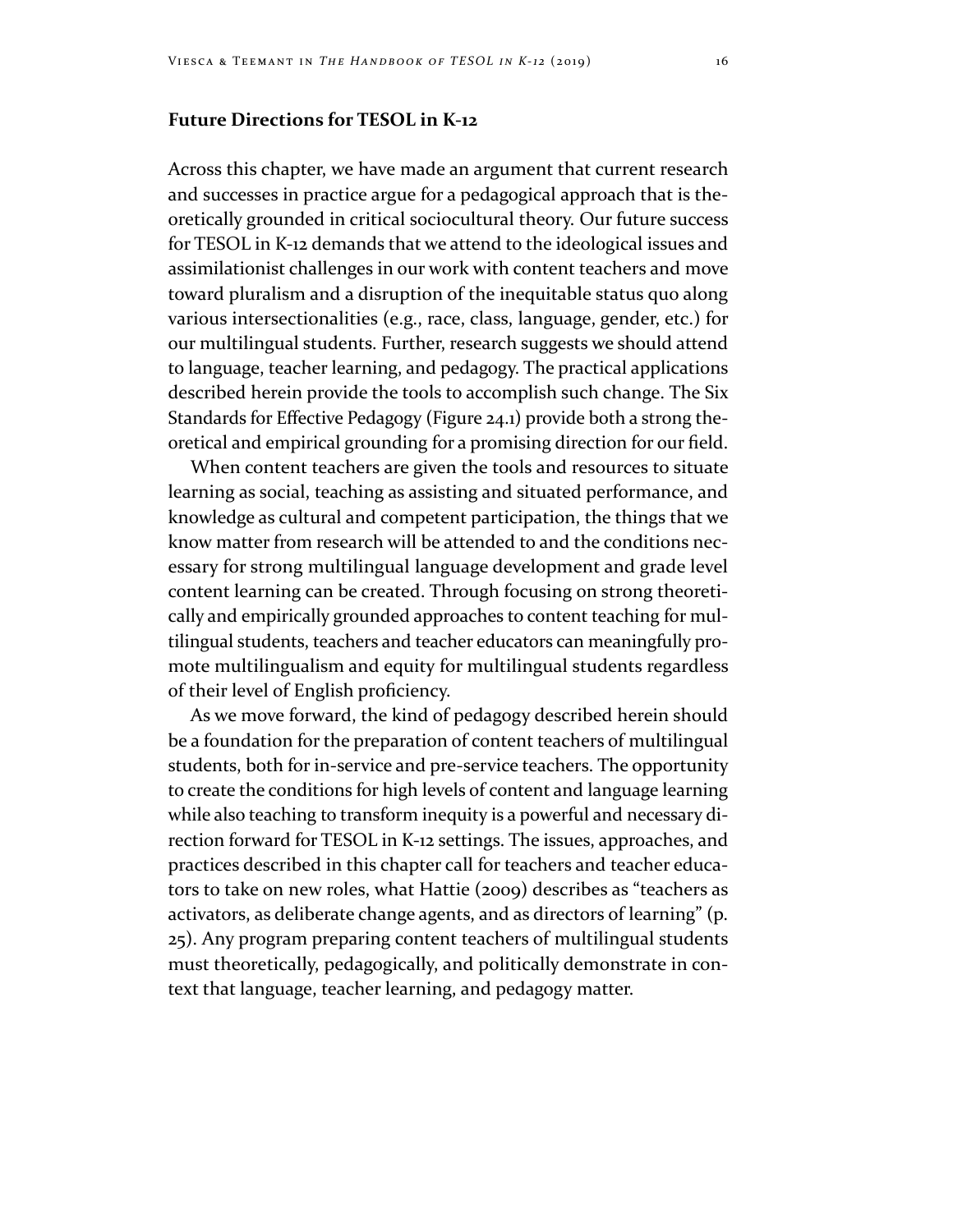# **Future Directions for TESOL in K‐12**

Across this chapter, we have made an argument that current research and successes in practice argue for a pedagogical approach that is theoretically grounded in critical sociocultural theory. Our future success for TESOL in K-12 demands that we attend to the ideological issues and assimilationist challenges in our work with content teachers and move toward pluralism and a disruption of the inequitable status quo along various intersectionalities (e.g., race, class, language, gender, etc.) for our multilingual students. Further, research suggests we should attend to language, teacher learning, and pedagogy. The practical applications described herein provide the tools to accomplish such change. The Six Standards for Effective Pedagogy (Figure 24.1) provide both a strong theoretical and empirical grounding for a promising direction for our field.

When content teachers are given the tools and resources to situate learning as social, teaching as assisting and situated performance, and knowledge as cultural and competent participation, the things that we know matter from research will be attended to and the conditions necessary for strong multilingual language development and grade level content learning can be created. Through focusing on strong theoretically and empirically grounded approaches to content teaching for multilingual students, teachers and teacher educators can meaningfully promote multilingualism and equity for multilingual students regardless of their level of English proficiency.

As we move forward, the kind of pedagogy described herein should be a foundation for the preparation of content teachers of multilingual students, both for in-service and pre-service teachers. The opportunity to create the conditions for high levels of content and language learning while also teaching to transform inequity is a powerful and necessary direction forward for TESOL in K-12 settings. The issues, approaches, and practices described in this chapter call for teachers and teacher educators to take on new roles, what Hattie (2009) describes as "teachers as activators, as deliberate change agents, and as directors of learning" (p. 25). Any program preparing content teachers of multilingual students must theoretically, pedagogically, and politically demonstrate in context that language, teacher learning, and pedagogy matter.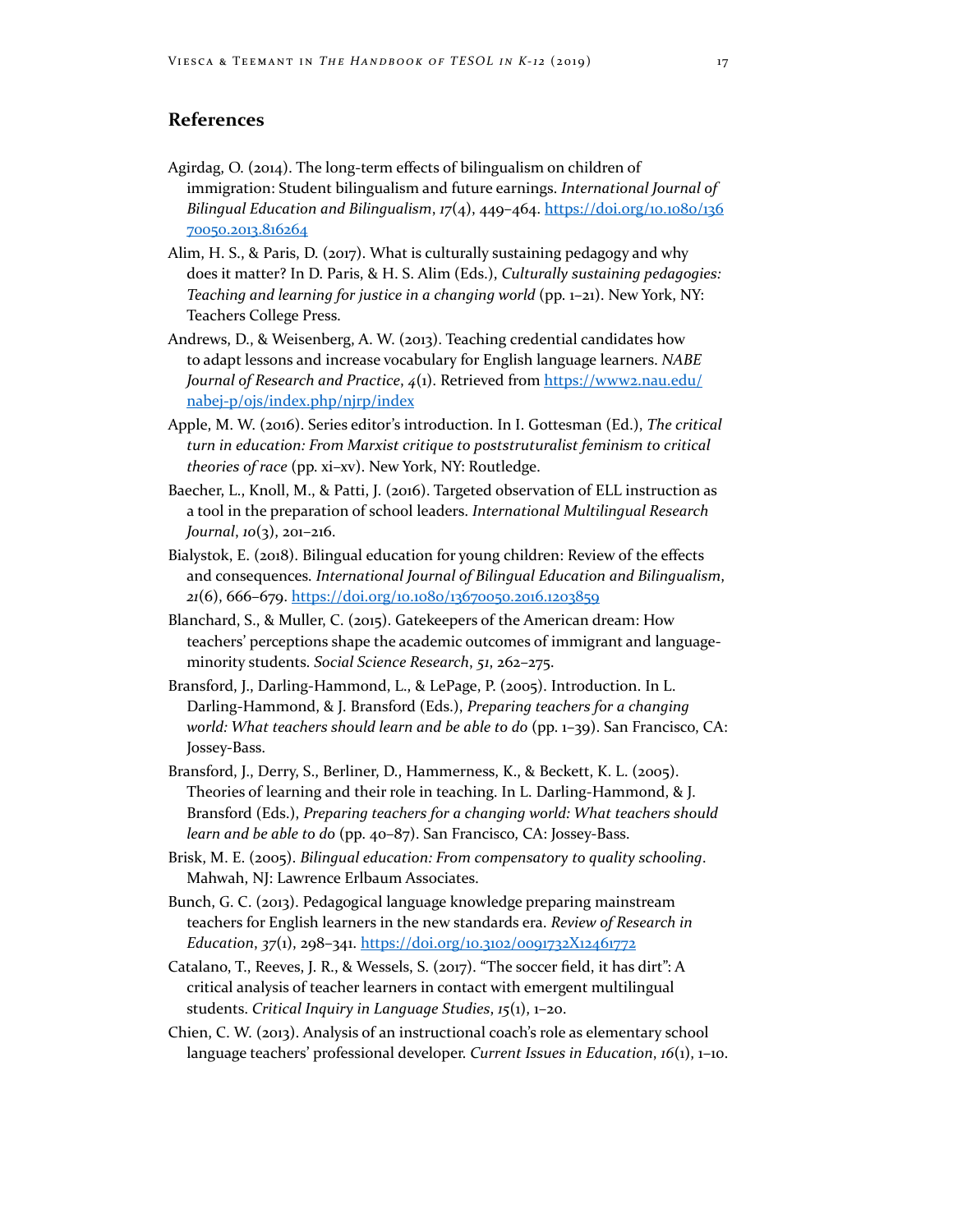# **References**

- Agirdag, O. (2014). The long‐term effects of bilingualism on children of immigration: Student bilingualism and future earnings. *International Journal of Bilingual Education and Bilingualism*, *17*(4), 449–464. [https://doi.org/10.1080/136](https://doi.org/10.1080/13670050.2013.816264) [70050.2013.816264](https://doi.org/10.1080/13670050.2013.816264)
- Alim, H. S., & Paris, D. (2017). What is culturally sustaining pedagogy and why does it matter? In D. Paris, & H. S. Alim (Eds.), *Culturally sustaining pedagogies: Teaching and learning for justice in a changing world* (pp. 1–21). New York, NY: Teachers College Press.
- Andrews, D., & Weisenberg, A. W. (2013). Teaching credential candidates how to adapt lessons and increase vocabulary for English language learners. *NABE Journal of Research and Practice*, *4*(1). Retrieved from [https://www2.nau.edu/](https://www2.nau.edu/nabej) [nabej‐p/ojs/index.php/njrp/index](https://www2.nau.edu/nabej)
- Apple, M. W. (2016). Series editor's introduction. In I. Gottesman (Ed.), *The critical turn in education: From Marxist critique to poststruturalist feminism to critical theories of race* (pp. xi–xv). New York, NY: Routledge.
- Baecher, L., Knoll, M., & Patti, J. (2016). Targeted observation of ELL instruction as a tool in the preparation of school leaders. *International Multilingual Research Journal*, *10*(3), 201–216.
- Bialystok, E. (2018). Bilingual education for young children: Review of the effects and consequences. *International Journal of Bilingual Education and Bilingualism*, *21*(6), 666–679.<https://doi.org/10.1080/13670050.2016.1203859>
- Blanchard, S., & Muller, C. (2015). Gatekeepers of the American dream: How teachers' perceptions shape the academic outcomes of immigrant and languageminority students. *Social Science Research*, *51*, 262–275.
- Bransford, J., Darling-Hammond, L., & LePage, P. (2005). Introduction. In L. Darling-Hammond, & J. Bransford (Eds.), *Preparing teachers for a changing world: What teachers should learn and be able to do* (pp. 1–39). San Francisco, CA: Jossey-Bass.
- Bransford, J., Derry, S., Berliner, D., Hammerness, K., & Beckett, K. L. (2005). Theories of learning and their role in teaching. In L. Darling-Hammond, & J. Bransford (Eds.), *Preparing teachers for a changing world: What teachers should learn and be able to do* (pp. 40–87). San Francisco, CA: Jossey‐Bass.
- Brisk, M. E. (2005). *Bilingual education: From compensatory to quality schooling*. Mahwah, NJ: Lawrence Erlbaum Associates.
- Bunch, G. C. (2013). Pedagogical language knowledge preparing mainstream teachers for English learners in the new standards era. *Review of Research in Education*, *37*(1), 298–341. <https://doi.org/10.3102/0091732X12461772>
- Catalano, T., Reeves, J. R., & Wessels, S. (2017). "The soccer field, it has dirt": A critical analysis of teacher learners in contact with emergent multilingual students. *Critical Inquiry in Language Studies*, *15*(1), 1–20.
- Chien, C. W. (2013). Analysis of an instructional coach's role as elementary school language teachers' professional developer. *Current Issues in Education*, *16*(1), 1–10.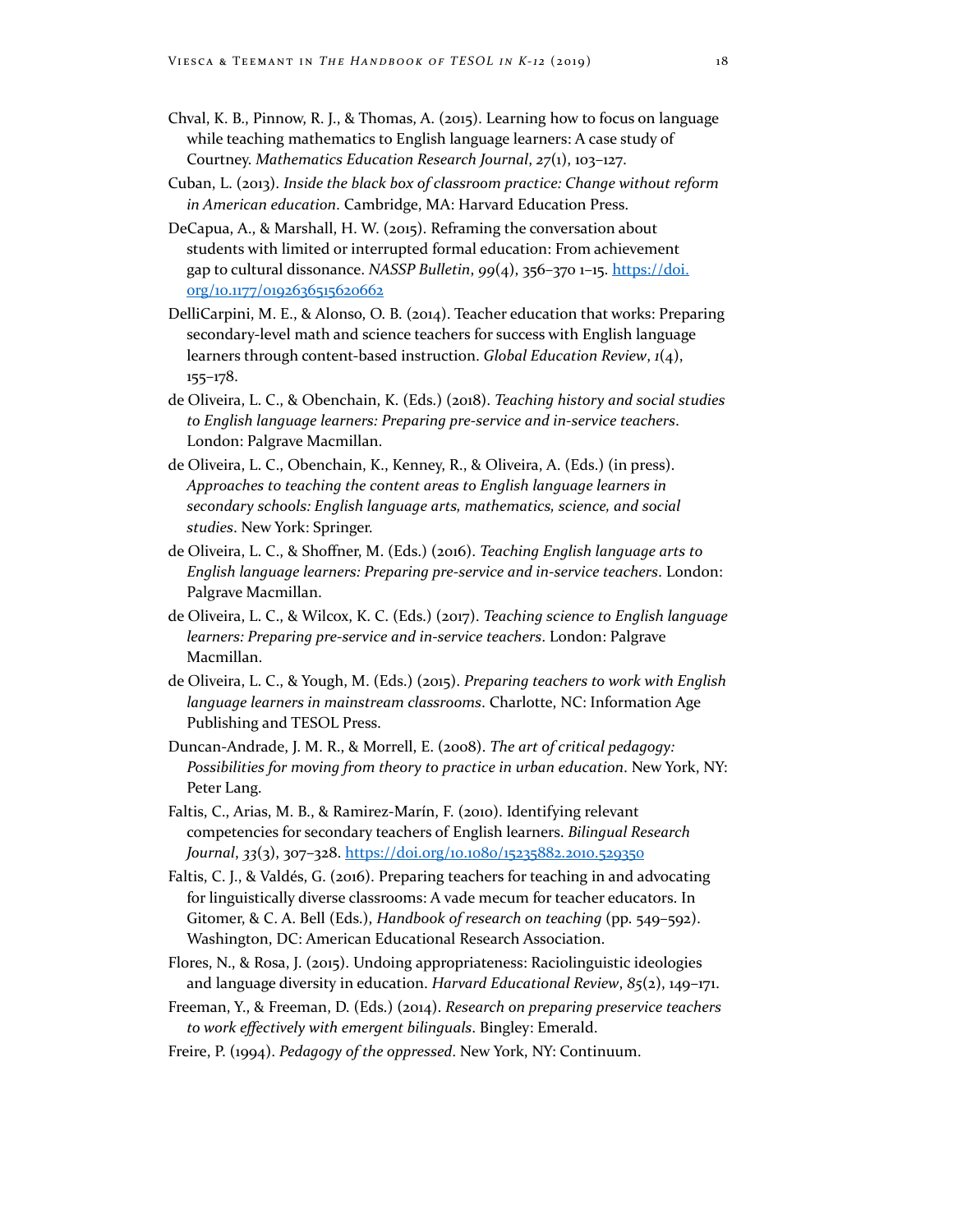- Chval, K. B., Pinnow, R. J., & Thomas, A. (2015). Learning how to focus on language while teaching mathematics to English language learners: A case study of Courtney. *Mathematics Education Research Journal*, *27*(1), 103–127.
- Cuban, L. (2013). *Inside the black box of classroom practice: Change without reform in American education*. Cambridge, MA: Harvard Education Press.
- DeCapua, A., & Marshall, H. W. (2015). Reframing the conversation about students with limited or interrupted formal education: From achievement gap to cultural dissonance. *NASSP Bulletin*, *99*(4), 356–370 1–15. [https://doi.](https://doi.org/10.1177/0192636515620662) [org/10.1177/0192636515620662](https://doi.org/10.1177/0192636515620662)
- DelliCarpini, M. E., & Alonso, O. B. (2014). Teacher education that works: Preparing secondary-level math and science teachers for success with English language learners through content-based instruction. *Global Education Review*, *1*(4), 155–178.
- de Oliveira, L. C., & Obenchain, K. (Eds.) (2018). *Teaching history and social studies to English language learners: Preparing pre-service and in-service teachers*. London: Palgrave Macmillan.
- de Oliveira, L. C., Obenchain, K., Kenney, R., & Oliveira, A. (Eds.) (in press). *Approaches to teaching the content areas to English language learners in secondary schools: English language arts, mathematics, science, and social studies*. New York: Springer.
- de Oliveira, L. C., & Shoffner, M. (Eds.) (2016). *Teaching English language arts to English language learners: Preparing pre-service and in-service teachers*. London: Palgrave Macmillan.
- de Oliveira, L. C., & Wilcox, K. C. (Eds.) (2017). *Teaching science to English language learners: Preparing pre-service and in-service teachers*. London: Palgrave Macmillan.
- de Oliveira, L. C., & Yough, M. (Eds.) (2015). *Preparing teachers to work with English language learners in mainstream classrooms*. Charlotte, NC: Information Age Publishing and TESOL Press.
- Duncan-Andrade, J. M. R., & Morrell, E. (2008). *The art of critical pedagogy: Possibilities for moving from theory to practice in urban education*. New York, NY: Peter Lang.
- Faltis, C., Arias, M. B., & Ramirez-Marín, F. (2010). Identifying relevant competencies for secondary teachers of English learners. *Bilingual Research Journal*, *33*(3), 307–328. <https://doi.org/10.1080/15235882.2010.529350>
- Faltis, C. J., & Valdés, G. (2016). Preparing teachers for teaching in and advocating for linguistically diverse classrooms: A vade mecum for teacher educators. In Gitomer, & C. A. Bell (Eds.), *Handbook of research on teaching* (pp. 549–592). Washington, DC: American Educational Research Association.
- Flores, N., & Rosa, J. (2015). Undoing appropriateness: Raciolinguistic ideologies and language diversity in education. *Harvard Educational Review*, *85*(2), 149–171.
- Freeman, Y., & Freeman, D. (Eds.) (2014). *Research on preparing preservice teachers to work effectively with emergent bilinguals*. Bingley: Emerald.
- Freire, P. (1994). *Pedagogy of the oppressed*. New York, NY: Continuum.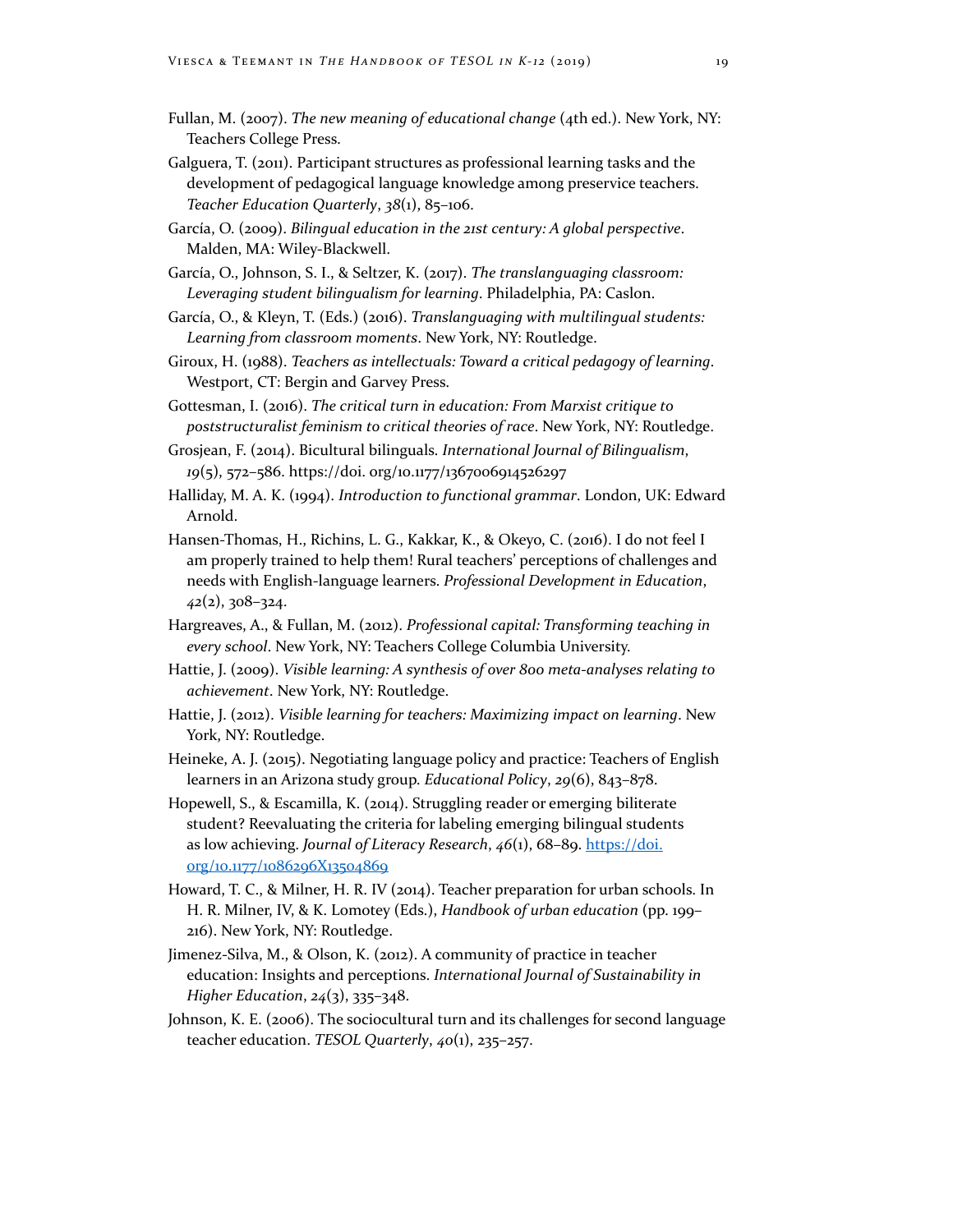- Fullan, M. (2007). *The new meaning of educational change* (4th ed.). New York, NY: Teachers College Press.
- Galguera, T. (2011). Participant structures as professional learning tasks and the development of pedagogical language knowledge among preservice teachers. *Teacher Education Quarterly*, *38*(1), 85–106.
- García, O. (2009). *Bilingual education in the 21st century: A global perspective*. Malden, MA: Wiley-Blackwell.
- García, O., Johnson, S. I., & Seltzer, K. (2017). *The translanguaging classroom: Leveraging student bilingualism for learning*. Philadelphia, PA: Caslon.
- García, O., & Kleyn, T. (Eds.) (2016). *Translanguaging with multilingual students: Learning from classroom moments*. New York, NY: Routledge.
- Giroux, H. (1988). *Teachers as intellectuals: Toward a critical pedagogy of learning*. Westport, CT: Bergin and Garvey Press.
- Gottesman, I. (2016). *The critical turn in education: From Marxist critique to poststructuralist feminism to critical theories of race*. New York, NY: Routledge.
- Grosjean, F. (2014). Bicultural bilinguals. *International Journal of Bilingualism*, *19*(5), 572–586. https://doi. org/10.1177/1367006914526297
- Halliday, M. A. K. (1994). *Introduction to functional grammar*. London, UK: Edward Arnold.
- Hansen‐Thomas, H., Richins, L. G., Kakkar, K., & Okeyo, C. (2016). I do not feel I am properly trained to help them! Rural teachers' perceptions of challenges and needs with English-language learners. *Professional Development in Education*, *42*(2), 308–324.
- Hargreaves, A., & Fullan, M. (2012). *Professional capital: Transforming teaching in every school*. New York, NY: Teachers College Columbia University.
- Hattie, J. (2009). *Visible learning: A synthesis of over 800 meta-analyses relating to achievement*. New York, NY: Routledge.
- Hattie, J. (2012). *Visible learning for teachers: Maximizing impact on learning*. New York, NY: Routledge.
- Heineke, A. J. (2015). Negotiating language policy and practice: Teachers of English learners in an Arizona study group. *Educational Policy*, *29*(6), 843–878.
- Hopewell, S., & Escamilla, K. (2014). Struggling reader or emerging biliterate student? Reevaluating the criteria for labeling emerging bilingual students as low achieving. *Journal of Literacy Research*,  $46(1)$ , 68-89. [https://doi.](https://doi.org/10.1177/1086296X13504869) [org/10.1177/1086296X13504869](https://doi.org/10.1177/1086296X13504869)
- Howard, T. C., & Milner, H. R. IV (2014). Teacher preparation for urban schools. In H. R. Milner, IV, & K. Lomotey (Eds.), *Handbook of urban education* (pp. 199– 216). New York, NY: Routledge.
- Jimenez-Silva, M., & Olson, K. (2012). A community of practice in teacher education: Insights and perceptions. *International Journal of Sustainability in Higher Education*, *24*(3), 335–348.
- Johnson, K. E. (2006). The sociocultural turn and its challenges for second language teacher education. *TESOL Quarterly*, *40*(1), 235–257.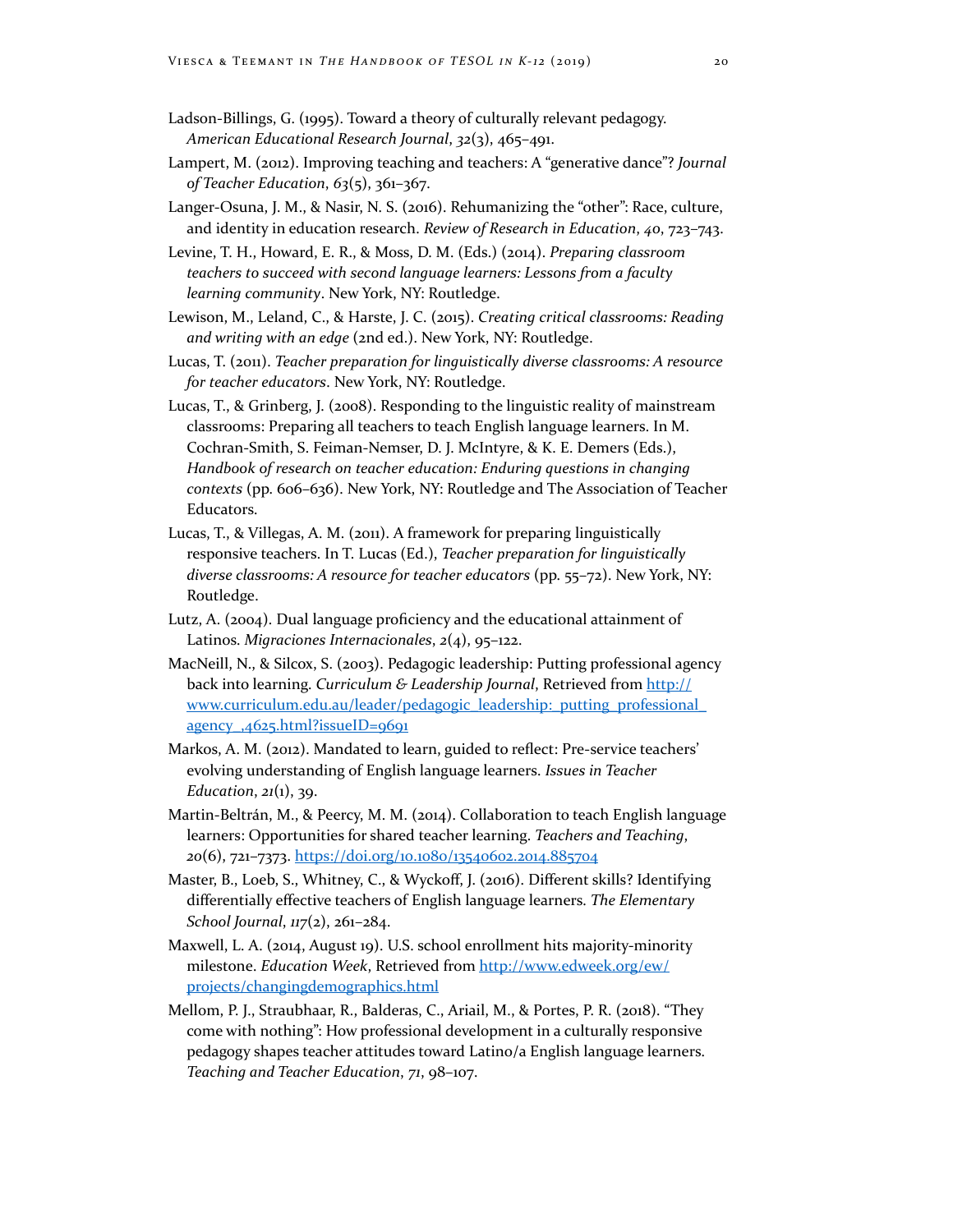- Ladson-Billings, G. (1995). Toward a theory of culturally relevant pedagogy. *American Educational Research Journal*, *32*(3), 465–491.
- Lampert, M. (2012). Improving teaching and teachers: A "generative dance"? *Journal of Teacher Education*, *63*(5), 361–367.
- Langer‐Osuna, J. M., & Nasir, N. S. (2016). Rehumanizing the "other": Race, culture, and identity in education research. *Review of Research in Education*, *40*, 723–743.

Levine, T. H., Howard, E. R., & Moss, D. M. (Eds.) (2014). *Preparing classroom teachers to succeed with second language learners: Lessons from a faculty learning community*. New York, NY: Routledge.

- Lewison, M., Leland, C., & Harste, J. C. (2015). *Creating critical classrooms: Reading and writing with an edge* (2nd ed.). New York, NY: Routledge.
- Lucas, T. (2011). *Teacher preparation for linguistically diverse classrooms: A resource for teacher educators*. New York, NY: Routledge.
- Lucas, T., & Grinberg, J. (2008). Responding to the linguistic reality of mainstream classrooms: Preparing all teachers to teach English language learners. In M. Cochran-Smith, S. Feiman-Nemser, D. J. McIntyre, & K. E. Demers (Eds.), *Handbook of research on teacher education: Enduring questions in changing contexts* (pp. 606–636). New York, NY: Routledge and The Association of Teacher Educators.
- Lucas, T., & Villegas, A. M. (2011). A framework for preparing linguistically responsive teachers. In T. Lucas (Ed.), *Teacher preparation for linguistically diverse classrooms: A resource for teacher educators* (pp. 55–72). New York, NY: Routledge.
- Lutz, A. (2004). Dual language proficiency and the educational attainment of Latinos. *Migraciones Internacionales*, *2*(4), 95–122.
- MacNeill, N., & Silcox, S. (2003). Pedagogic leadership: Putting professional agency back into learning. *Curriculum & Leadership Journal*, Retrieved from [http://](http://www.curriculum.edu.au/leader/pedagogic_leadership:_putting_professional_agency_,4625.html?issueID=9691) [www.curriculum.edu.au/leader/pedagogic\\_leadership:\\_putting\\_professional\\_](http://www.curriculum.edu.au/leader/pedagogic_leadership:_putting_professional_agency_,4625.html?issueID=9691) [agency\\_,4625.html?issueID=9691](http://www.curriculum.edu.au/leader/pedagogic_leadership:_putting_professional_agency_,4625.html?issueID=9691)
- Markos, A. M. (2012). Mandated to learn, guided to reflect: Pre-service teachers' evolving understanding of English language learners. *Issues in Teacher Education*, *21*(1), 39.
- Martin‐Beltrán, M., & Peercy, M. M. (2014). Collaboration to teach English language learners: Opportunities for shared teacher learning. *Teachers and Teaching*, *20*(6), 721–7373. <https://doi.org/10.1080/13540602.2014.885704>
- Master, B., Loeb, S., Whitney, C., & Wyckoff, J. (2016). Different skills? Identifying differentially effective teachers of English language learners. *The Elementary School Journal*, *117*(2), 261–284.
- Maxwell, L. A. (2014, August 19). U.S. school enrollment hits majority‐minority milestone. *Education Week*, Retrieved from [http://www.edweek.org/ew/](http://www.edweek.org/ew/projects/changingdemographics.html) [projects/changingdemographics.html](http://www.edweek.org/ew/projects/changingdemographics.html)
- Mellom, P. J., Straubhaar, R., Balderas, C., Ariail, M., & Portes, P. R. (2018). "They come with nothing": How professional development in a culturally responsive pedagogy shapes teacher attitudes toward Latino/a English language learners. *Teaching and Teacher Education*, *71*, 98–107.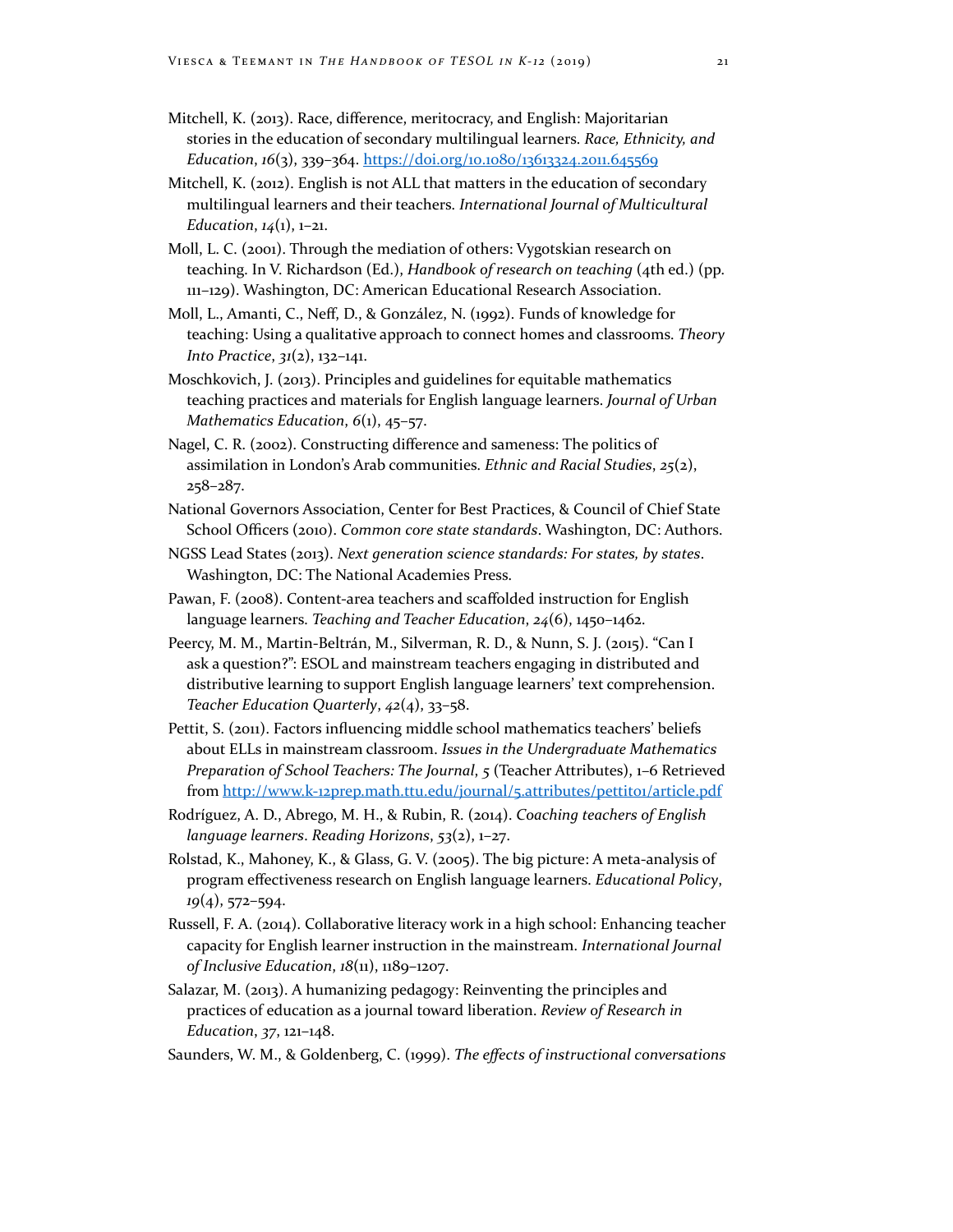- Mitchell, K. (2013). Race, difference, meritocracy, and English: Majoritarian stories in the education of secondary multilingual learners. *Race, Ethnicity, and Education*, *16*(3), 339–364. <https://doi.org/10.1080/13613324.2011.645569>
- Mitchell, K. (2012). English is not ALL that matters in the education of secondary multilingual learners and their teachers. *International Journal of Multicultural Education*, *14*(1), 1–21.
- Moll, L. C. (2001). Through the mediation of others: Vygotskian research on teaching. In V. Richardson (Ed.), *Handbook of research on teaching* (4th ed.) (pp. 111–129). Washington, DC: American Educational Research Association.
- Moll, L., Amanti, C., Neff, D., & González, N. (1992). Funds of knowledge for teaching: Using a qualitative approach to connect homes and classrooms. *Theory Into Practice*, *31*(2), 132–141.
- Moschkovich, J. (2013). Principles and guidelines for equitable mathematics teaching practices and materials for English language learners. *Journal of Urban Mathematics Education*, *6*(1), 45–57.
- Nagel, C. R. (2002). Constructing difference and sameness: The politics of assimilation in London's Arab communities. *Ethnic and Racial Studies*, *25*(2), 258–287.
- National Governors Association, Center for Best Practices, & Council of Chief State School Officers (2010). *Common core state standards*. Washington, DC: Authors.
- NGSS Lead States (2013). *Next generation science standards: For states, by states*. Washington, DC: The National Academies Press.
- Pawan, F. (2008). Content-area teachers and scaffolded instruction for English language learners. *Teaching and Teacher Education*, *24*(6), 1450–1462.
- Peercy, M. M., Martin‐Beltrán, M., Silverman, R. D., & Nunn, S. J. (2015). "Can I ask a question?": ESOL and mainstream teachers engaging in distributed and distributive learning to support English language learners' text comprehension. *Teacher Education Quarterly*, *42*(4), 33–58.
- Pettit, S. (2011). Factors influencing middle school mathematics teachers' beliefs about ELLs in mainstream classroom. *Issues in the Undergraduate Mathematics Preparation of School Teachers: The Journal*, *5* (Teacher Attributes), 1–6 Retrieved from http://www.k-12prep.math.ttu.edu/journal/5.attributes/pettito1/article.pdf
- Rodríguez, A. D., Abrego, M. H., & Rubin, R. (2014). *Coaching teachers of English language learners*. *Reading Horizons*, *53*(2), 1–27.
- Rolstad, K., Mahoney, K., & Glass, G. V. (2005). The big picture: A meta-analysis of program effectiveness research on English language learners. *Educational Policy*, *19*(4), 572–594.
- Russell, F. A. (2014). Collaborative literacy work in a high school: Enhancing teacher capacity for English learner instruction in the mainstream. *International Journal of Inclusive Education*, *18*(11), 1189–1207.
- Salazar, M. (2013). A humanizing pedagogy: Reinventing the principles and practices of education as a journal toward liberation. *Review of Research in Education*, *37*, 121–148.
- Saunders, W. M., & Goldenberg, C. (1999). *The effects of instructional conversations*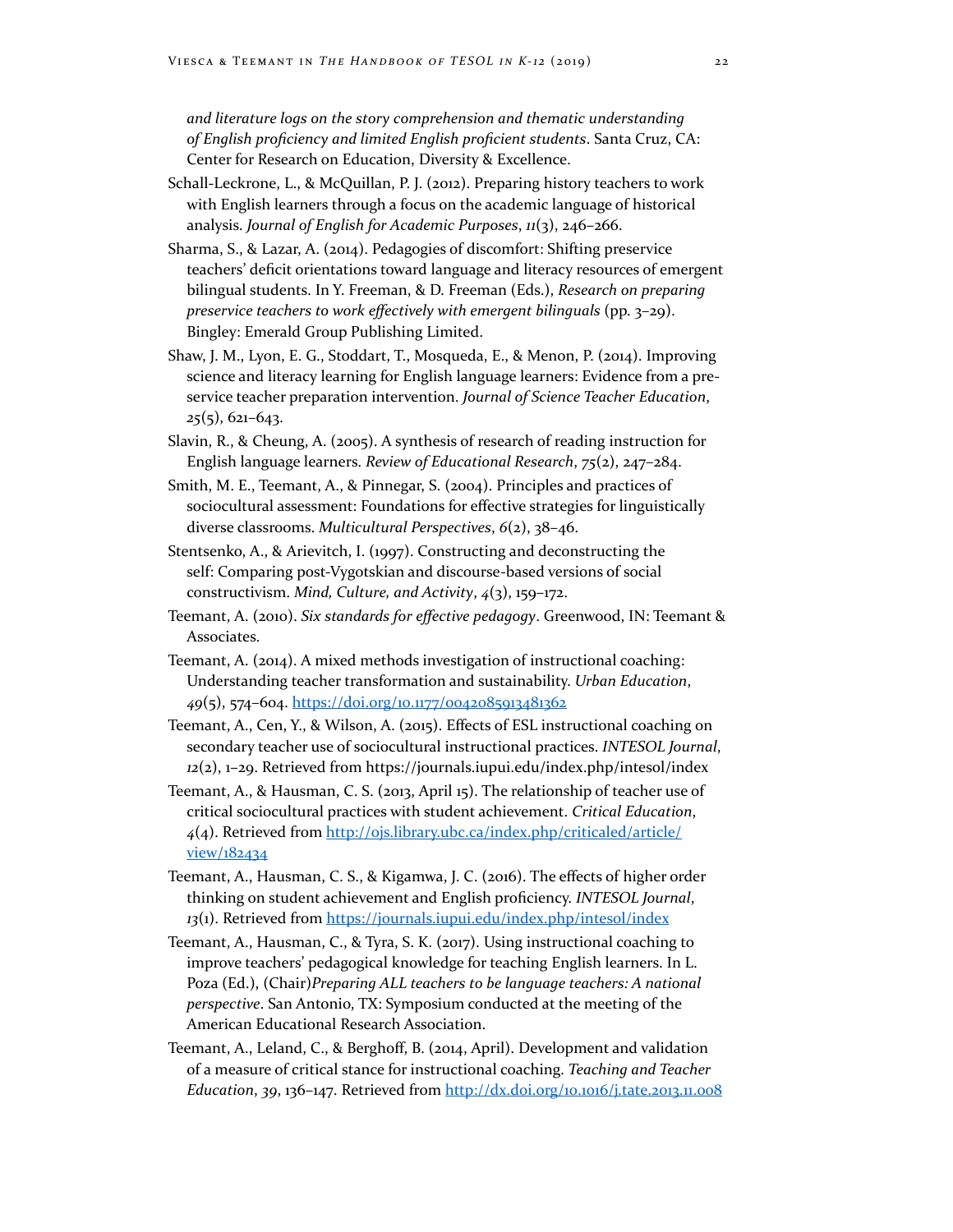*and literature logs on the story comprehension and thematic understanding of English proficiency and limited English proficient students*. Santa Cruz, CA: Center for Research on Education, Diversity & Excellence.

- Schall-Leckrone, L., & McQuillan, P. J. (2012). Preparing history teachers to work with English learners through a focus on the academic language of historical analysis. *Journal of English for Academic Purposes*, *11*(3), 246–266.
- Sharma, S., & Lazar, A. (2014). Pedagogies of discomfort: Shifting preservice teachers' deficit orientations toward language and literacy resources of emergent bilingual students. In Y. Freeman, & D. Freeman (Eds.), *Research on preparing preservice teachers to work effectively with emergent bilinguals* (pp. 3–29). Bingley: Emerald Group Publishing Limited.
- Shaw, J. M., Lyon, E. G., Stoddart, T., Mosqueda, E., & Menon, P. (2014). Improving science and literacy learning for English language learners: Evidence from a preservice teacher preparation intervention. *Journal of Science Teacher Education*, *25*(5), 621–643.
- Slavin, R., & Cheung, A. (2005). A synthesis of research of reading instruction for English language learners. *Review of Educational Research*, *75*(2), 247–284.
- Smith, M. E., Teemant, A., & Pinnegar, S. (2004). Principles and practices of sociocultural assessment: Foundations for effective strategies for linguistically diverse classrooms. *Multicultural Perspectives*, *6*(2), 38–46.
- Stentsenko, A., & Arievitch, I. (1997). Constructing and deconstructing the self: Comparing post-Vygotskian and discourse-based versions of social constructivism. *Mind, Culture, and Activity*, *4*(3), 159–172.
- Teemant, A. (2010). *Six standards for effective pedagogy*. Greenwood, IN: Teemant & Associates.
- Teemant, A. (2014). A mixed methods investigation of instructional coaching: Understanding teacher transformation and sustainability. *Urban Education*, *49*(5), 574–604. <https://doi.org/10.1177/0042085913481362>
- Teemant, A., Cen, Y., & Wilson, A. (2015). Effects of ESL instructional coaching on secondary teacher use of sociocultural instructional practices. *INTESOL Journal*, *12*(2), 1–29. Retrieved from https://journals.iupui.edu/index.php/intesol/index
- Teemant, A., & Hausman, C. S. (2013, April 15). The relationship of teacher use of critical sociocultural practices with student achievement. *Critical Education*, *4*(4). Retrieved from [http://ojs.library.ubc.ca/index.php/criticaled/article/](http://ojs.library.ubc.ca/index.php/criticaled/article/view/182434) [view/182434](http://ojs.library.ubc.ca/index.php/criticaled/article/view/182434)
- Teemant, A., Hausman, C. S., & Kigamwa, J. C. (2016). The effects of higher order thinking on student achievement and English proficiency. *INTESOL Journal*, *13*(1). Retrieved from <https://journals.iupui.edu/index.php/intesol/index>
- Teemant, A., Hausman, C., & Tyra, S. K. (2017). Using instructional coaching to improve teachers' pedagogical knowledge for teaching English learners. In L. Poza (Ed.), (Chair)*Preparing ALL teachers to be language teachers: A national perspective*. San Antonio, TX: Symposium conducted at the meeting of the American Educational Research Association.
- Teemant, A., Leland, C., & Berghoff, B. (2014, April). Development and validation of a measure of critical stance for instructional coaching. *Teaching and Teacher Education*, *39*, 136–147. Retrieved from<http://dx.doi.org/10.1016/j.tate.2013.11.008>